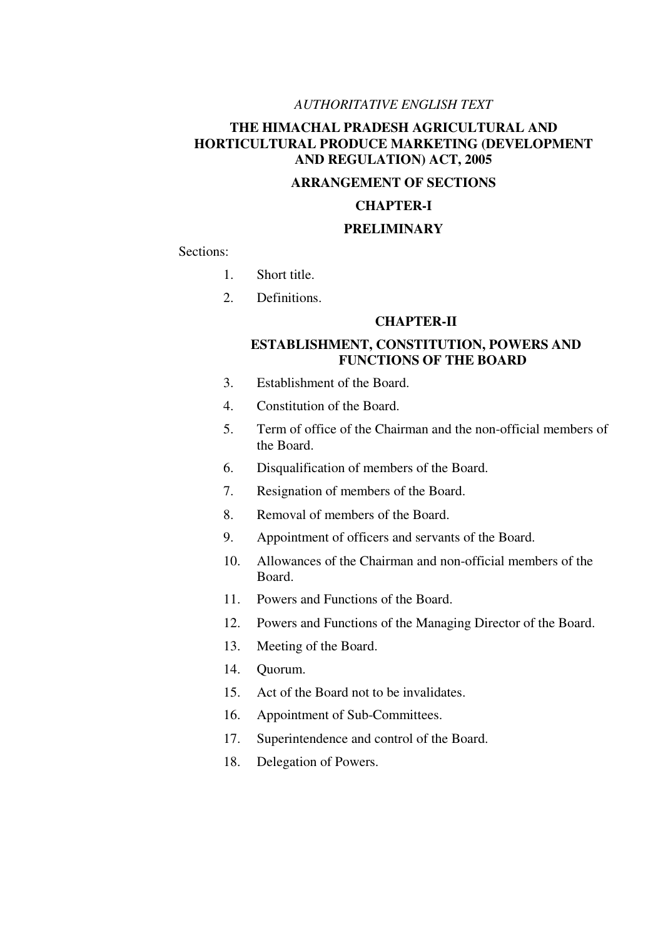# *AUTHORITATIVE ENGLISH TEXT*

# **THE HIMACHAL PRADESH AGRICULTURAL AND HORTICULTURAL PRODUCE MARKETING (DEVELOPMENT AND REGULATION) ACT, 2005**

# **ARRANGEMENT OF SECTIONS**

# **CHAPTER-I**

# **PRELIMINARY**

Sections:

- 1. Short title.
- 2. Definitions.

### **CHAPTER-II**

# **ESTABLISHMENT, CONSTITUTION, POWERS AND FUNCTIONS OF THE BOARD**

- 3. Establishment of the Board.
- 4. Constitution of the Board.
- 5. Term of office of the Chairman and the non-official members of the Board.
- 6. Disqualification of members of the Board.
- 7. Resignation of members of the Board.
- 8. Removal of members of the Board.
- 9. Appointment of officers and servants of the Board.
- 10. Allowances of the Chairman and non-official members of the Board.
- 11. Powers and Functions of the Board.
- 12. Powers and Functions of the Managing Director of the Board.
- 13. Meeting of the Board.
- 14. Quorum.
- 15. Act of the Board not to be invalidates.
- 16. Appointment of Sub-Committees.
- 17. Superintendence and control of the Board.
- 18. Delegation of Powers.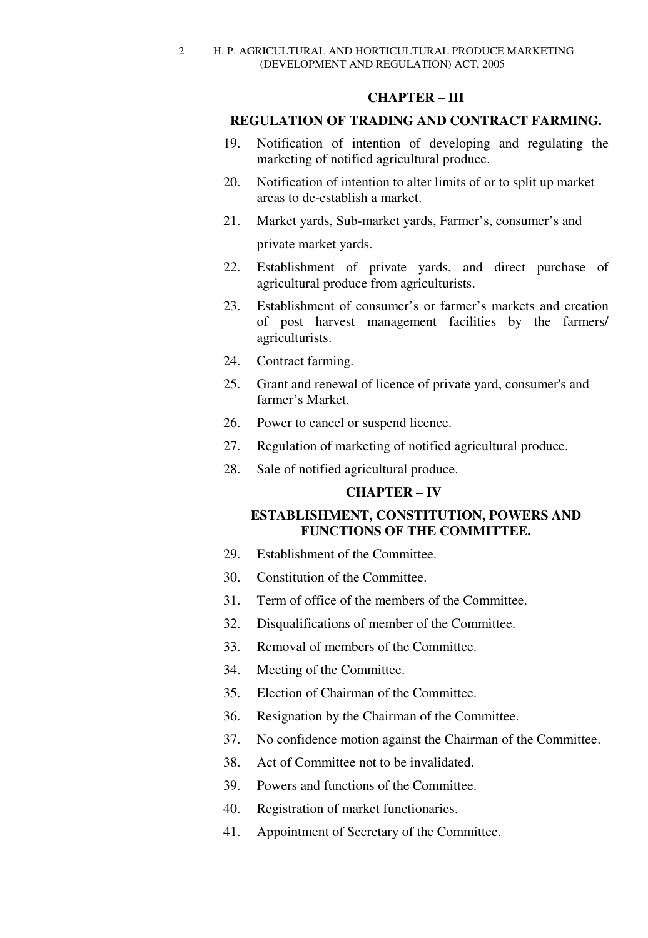# **CHAPTER – III**

# **REGULATION OF TRADING AND CONTRACT FARMING.**

- 19. Notification of intention of developing and regulating the marketing of notified agricultural produce.
- 20. Notification of intention to alter limits of or to split up market areas to de-establish a market.
- 21. Market yards, Sub-market yards, Farmer's, consumer's and private market yards.
- 22. Establishment of private yards, and direct purchase of agricultural produce from agriculturists.
- 23. Establishment of consumer's or farmer's markets and creation of post harvest management facilities by the farmers/ agriculturists.
- 24. Contract farming.
- 25. Grant and renewal of licence of private yard, consumer's and farmer's Market.
- 26. Power to cancel or suspend licence.
- 27. Regulation of marketing of notified agricultural produce.
- 28. Sale of notified agricultural produce.

# **CHAPTER – IV**

# **ESTABLISHMENT, CONSTITUTION, POWERS AND FUNCTIONS OF THE COMMITTEE.**

- 29. Establishment of the Committee.
- 30. Constitution of the Committee.
- 31. Term of office of the members of the Committee.
- 32. Disqualifications of member of the Committee.
- 33. Removal of members of the Committee.
- 34. Meeting of the Committee.
- 35. Election of Chairman of the Committee.
- 36. Resignation by the Chairman of the Committee.
- 37. No confidence motion against the Chairman of the Committee.
- 38. Act of Committee not to be invalidated.
- 39. Powers and functions of the Committee.
- 40. Registration of market functionaries.
- 41. Appointment of Secretary of the Committee.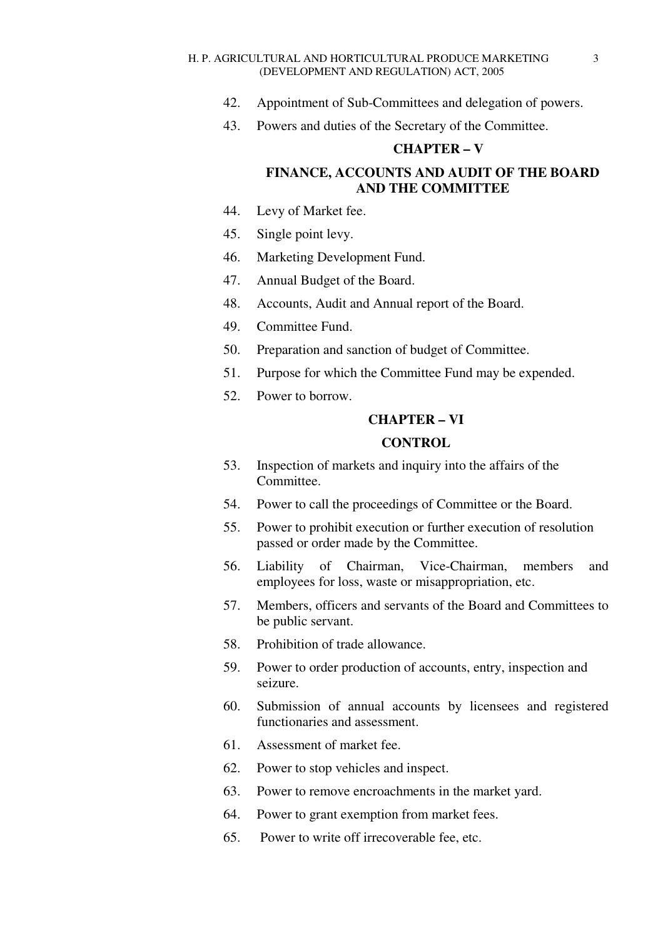- 42. Appointment of Sub-Committees and delegation of powers.
- 43. Powers and duties of the Secretary of the Committee.

# **CHAPTER – V**

# **FINANCE, ACCOUNTS AND AUDIT OF THE BOARD AND THE COMMITTEE**

- 44. Levy of Market fee.
- 45. Single point levy.
- 46. Marketing Development Fund.
- 47. Annual Budget of the Board.
- 48. Accounts, Audit and Annual report of the Board.
- 49. Committee Fund.
- 50. Preparation and sanction of budget of Committee.
- 51. Purpose for which the Committee Fund may be expended.
- 52. Power to borrow.

### **CHAPTER – VI**

# **CONTROL**

- 53. Inspection of markets and inquiry into the affairs of the Committee.
- 54. Power to call the proceedings of Committee or the Board.
- 55. Power to prohibit execution or further execution of resolution passed or order made by the Committee.
- 56. Liability of Chairman, Vice-Chairman, members and employees for loss, waste or misappropriation, etc.
- 57. Members, officers and servants of the Board and Committees to be public servant.
- 58. Prohibition of trade allowance.
- 59. Power to order production of accounts, entry, inspection and seizure.
- 60. Submission of annual accounts by licensees and registered functionaries and assessment.
- 61. Assessment of market fee.
- 62. Power to stop vehicles and inspect.
- 63. Power to remove encroachments in the market yard.
- 64. Power to grant exemption from market fees.
- 65. Power to write off irrecoverable fee, etc.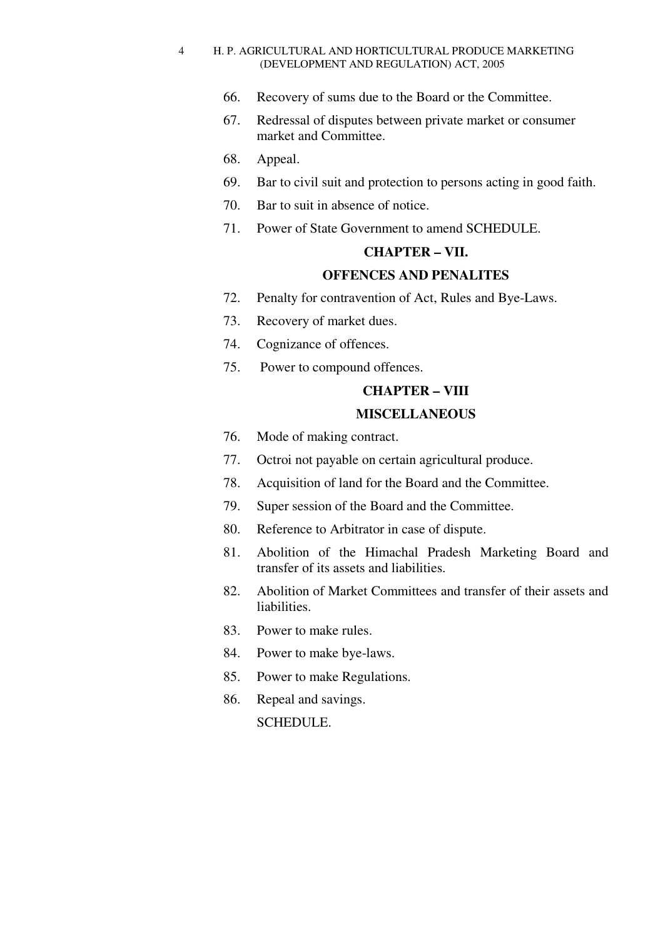- 66. Recovery of sums due to the Board or the Committee.
- 67. Redressal of disputes between private market or consumer market and Committee.
- 68. Appeal.
- 69. Bar to civil suit and protection to persons acting in good faith.
- 70. Bar to suit in absence of notice.
- 71. Power of State Government to amend SCHEDULE.

# **CHAPTER – VII.**

# **OFFENCES AND PENALITES**

- 72. Penalty for contravention of Act, Rules and Bye-Laws.
- 73. Recovery of market dues.
- 74. Cognizance of offences.
- 75. Power to compound offences.

# **CHAPTER – VIII**

# **MISCELLANEOUS**

- 76. Mode of making contract.
- 77. Octroi not payable on certain agricultural produce.
- 78. Acquisition of land for the Board and the Committee.
- 79. Super session of the Board and the Committee.
- 80. Reference to Arbitrator in case of dispute.
- 81. Abolition of the Himachal Pradesh Marketing Board and transfer of its assets and liabilities.
- 82. Abolition of Market Committees and transfer of their assets and liabilities.
- 83. Power to make rules.
- 84. Power to make bye-laws.
- 85. Power to make Regulations.
- 86. Repeal and savings. SCHEDULE.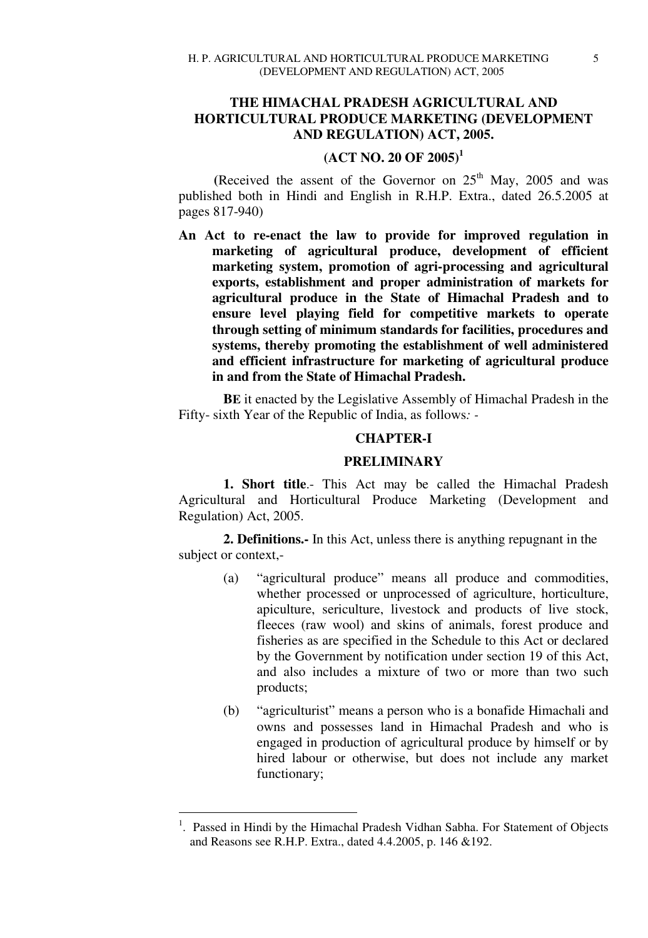# **THE HIMACHAL PRADESH AGRICULTURAL AND HORTICULTURAL PRODUCE MARKETING (DEVELOPMENT AND REGULATION) ACT, 2005.**

# **(ACT NO. 20 OF 2005)<sup>1</sup>**

(Received the assent of the Governor on  $25<sup>th</sup>$  May, 2005 and was published both in Hindi and English in R.H.P. Extra., dated 26.5.2005 at pages 817-940)

**An Act to re-enact the law to provide for improved regulation in marketing of agricultural produce, development of efficient marketing system, promotion of agri-processing and agricultural exports, establishment and proper administration of markets for agricultural produce in the State of Himachal Pradesh and to ensure level playing field for competitive markets to operate through setting of minimum standards for facilities, procedures and systems, thereby promoting the establishment of well administered and efficient infrastructure for marketing of agricultural produce in and from the State of Himachal Pradesh.** 

**BE** it enacted by the Legislative Assembly of Himachal Pradesh in the Fifty- sixth Year of the Republic of India, as follows*: -* 

# **CHAPTER-I**

# **PRELIMINARY**

**1. Short title**.- This Act may be called the Himachal Pradesh Agricultural and Horticultural Produce Marketing (Development and Regulation) Act, 2005.

**2. Definitions.-** In this Act, unless there is anything repugnant in the subject or context,-

- (a) "agricultural produce" means all produce and commodities, whether processed or unprocessed of agriculture, horticulture, apiculture, sericulture, livestock and products of live stock, fleeces (raw wool) and skins of animals, forest produce and fisheries as are specified in the Schedule to this Act or declared by the Government by notification under section 19 of this Act, and also includes a mixture of two or more than two such products;
- (b) "agriculturist" means a person who is a bonafide Himachali and owns and possesses land in Himachal Pradesh and who is engaged in production of agricultural produce by himself or by hired labour or otherwise, but does not include any market functionary;

-

<sup>&</sup>lt;sup>1</sup>. Passed in Hindi by the Himachal Pradesh Vidhan Sabha. For Statement of Objects and Reasons see R.H.P. Extra., dated 4.4.2005, p. 146 &192.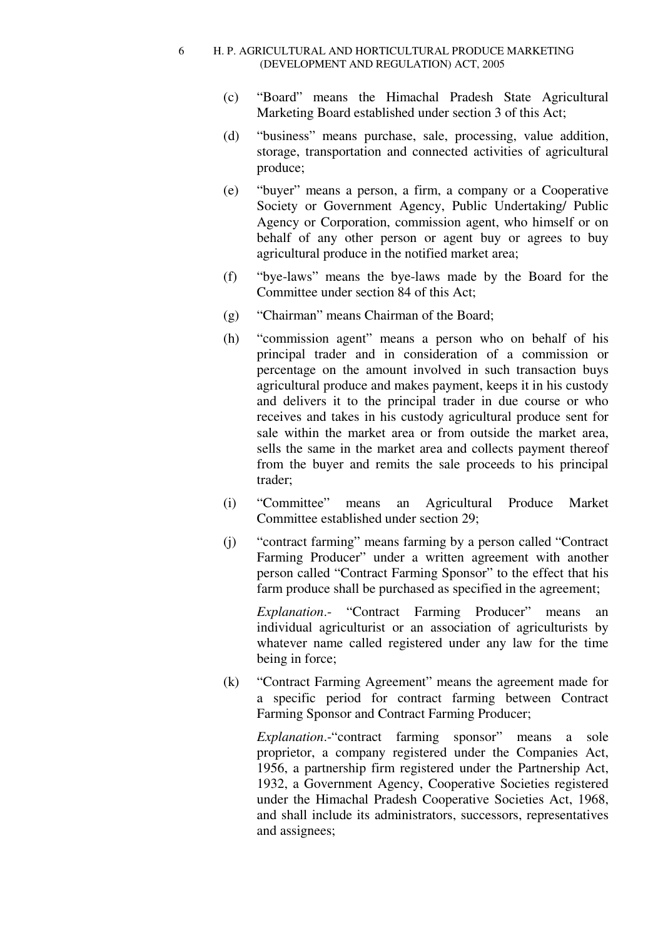- (c) "Board" means the Himachal Pradesh State Agricultural Marketing Board established under section 3 of this Act;
- (d) "business" means purchase, sale, processing, value addition, storage, transportation and connected activities of agricultural produce;
- (e) "buyer" means a person, a firm, a company or a Cooperative Society or Government Agency, Public Undertaking/ Public Agency or Corporation, commission agent, who himself or on behalf of any other person or agent buy or agrees to buy agricultural produce in the notified market area;
- (f) "bye-laws" means the bye-laws made by the Board for the Committee under section 84 of this Act;
- (g) "Chairman" means Chairman of the Board;
- (h) "commission agent" means a person who on behalf of his principal trader and in consideration of a commission or percentage on the amount involved in such transaction buys agricultural produce and makes payment, keeps it in his custody and delivers it to the principal trader in due course or who receives and takes in his custody agricultural produce sent for sale within the market area or from outside the market area, sells the same in the market area and collects payment thereof from the buyer and remits the sale proceeds to his principal trader;
- (i) "Committee" means an Agricultural Produce Market Committee established under section 29;
- (j) "contract farming" means farming by a person called "Contract Farming Producer" under a written agreement with another person called "Contract Farming Sponsor" to the effect that his farm produce shall be purchased as specified in the agreement;

*Explanation*.- "Contract Farming Producer" means an individual agriculturist or an association of agriculturists by whatever name called registered under any law for the time being in force;

(k) "Contract Farming Agreement" means the agreement made for a specific period for contract farming between Contract Farming Sponsor and Contract Farming Producer;

*Explanation*.-"contract farming sponsor" means a sole proprietor, a company registered under the Companies Act, 1956, a partnership firm registered under the Partnership Act, 1932, a Government Agency, Cooperative Societies registered under the Himachal Pradesh Cooperative Societies Act, 1968, and shall include its administrators, successors, representatives and assignees;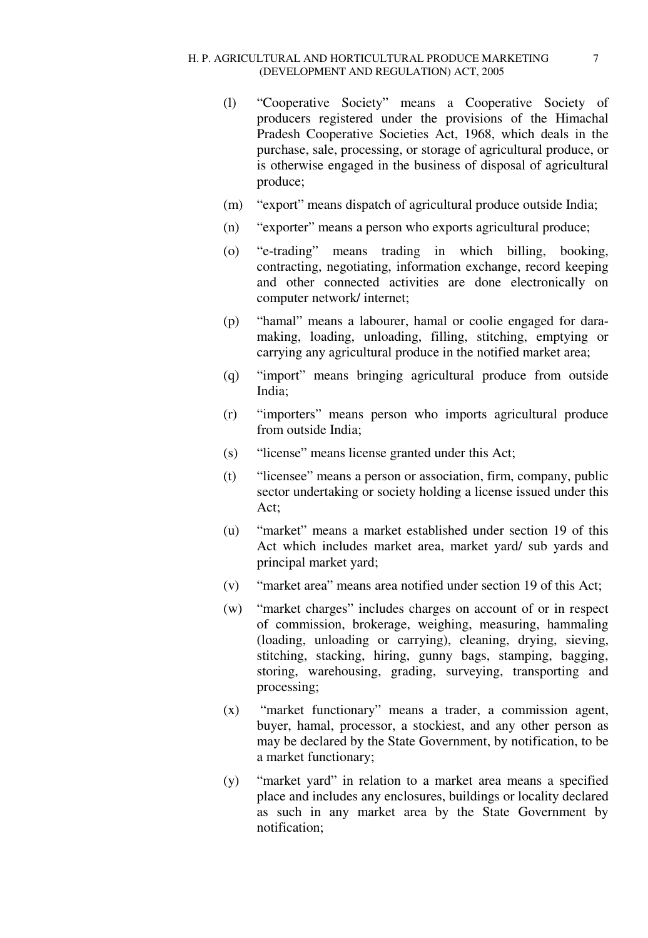- (l) "Cooperative Society" means a Cooperative Society of producers registered under the provisions of the Himachal Pradesh Cooperative Societies Act, 1968, which deals in the purchase, sale, processing, or storage of agricultural produce, or is otherwise engaged in the business of disposal of agricultural produce;
- (m) "export" means dispatch of agricultural produce outside India;
- (n) "exporter" means a person who exports agricultural produce;
- (o) "e-trading" means trading in which billing, booking, contracting, negotiating, information exchange, record keeping and other connected activities are done electronically on computer network/ internet;
- (p) "hamal" means a labourer, hamal or coolie engaged for daramaking, loading, unloading, filling, stitching, emptying or carrying any agricultural produce in the notified market area;
- (q) "import" means bringing agricultural produce from outside India;
- (r) "importers" means person who imports agricultural produce from outside India;
- (s) "license" means license granted under this Act;
- (t) "licensee" means a person or association, firm, company, public sector undertaking or society holding a license issued under this Act;
- (u) "market" means a market established under section 19 of this Act which includes market area, market yard/ sub yards and principal market yard;
- (v) "market area" means area notified under section 19 of this Act;
- (w) "market charges" includes charges on account of or in respect of commission, brokerage, weighing, measuring, hammaling (loading, unloading or carrying), cleaning, drying, sieving, stitching, stacking, hiring, gunny bags, stamping, bagging, storing, warehousing, grading, surveying, transporting and processing;
- (x) "market functionary" means a trader, a commission agent, buyer, hamal, processor, a stockiest, and any other person as may be declared by the State Government, by notification, to be a market functionary;
- (y) "market yard" in relation to a market area means a specified place and includes any enclosures, buildings or locality declared as such in any market area by the State Government by notification;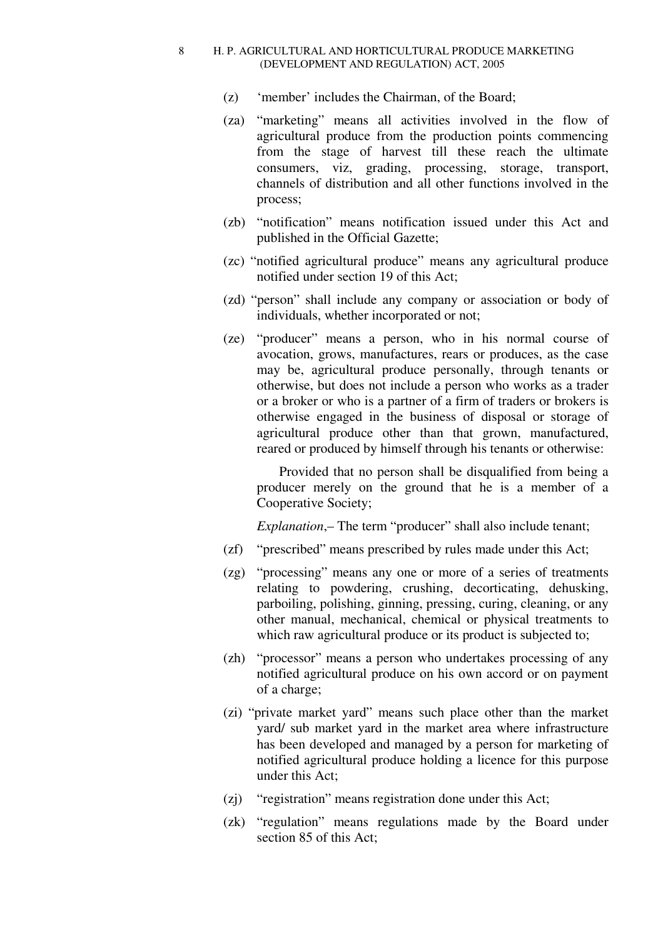- (z) 'member' includes the Chairman, of the Board;
- (za) "marketing" means all activities involved in the flow of agricultural produce from the production points commencing from the stage of harvest till these reach the ultimate consumers, viz, grading, processing, storage, transport, channels of distribution and all other functions involved in the process;
- (zb) "notification" means notification issued under this Act and published in the Official Gazette;
- (zc) "notified agricultural produce" means any agricultural produce notified under section 19 of this Act;
- (zd) "person" shall include any company or association or body of individuals, whether incorporated or not;
- (ze) "producer" means a person, who in his normal course of avocation, grows, manufactures, rears or produces, as the case may be, agricultural produce personally, through tenants or otherwise, but does not include a person who works as a trader or a broker or who is a partner of a firm of traders or brokers is otherwise engaged in the business of disposal or storage of agricultural produce other than that grown, manufactured, reared or produced by himself through his tenants or otherwise:

 Provided that no person shall be disqualified from being a producer merely on the ground that he is a member of a Cooperative Society;

*Explanation*,– The term "producer" shall also include tenant;

- (zf) "prescribed" means prescribed by rules made under this Act;
- (zg) "processing" means any one or more of a series of treatments relating to powdering, crushing, decorticating, dehusking, parboiling, polishing, ginning, pressing, curing, cleaning, or any other manual, mechanical, chemical or physical treatments to which raw agricultural produce or its product is subjected to;
- (zh) "processor" means a person who undertakes processing of any notified agricultural produce on his own accord or on payment of a charge;
- (zi) "private market yard" means such place other than the market yard/ sub market yard in the market area where infrastructure has been developed and managed by a person for marketing of notified agricultural produce holding a licence for this purpose under this Act;
- (zj) "registration" means registration done under this Act;
- (zk) "regulation" means regulations made by the Board under section 85 of this Act;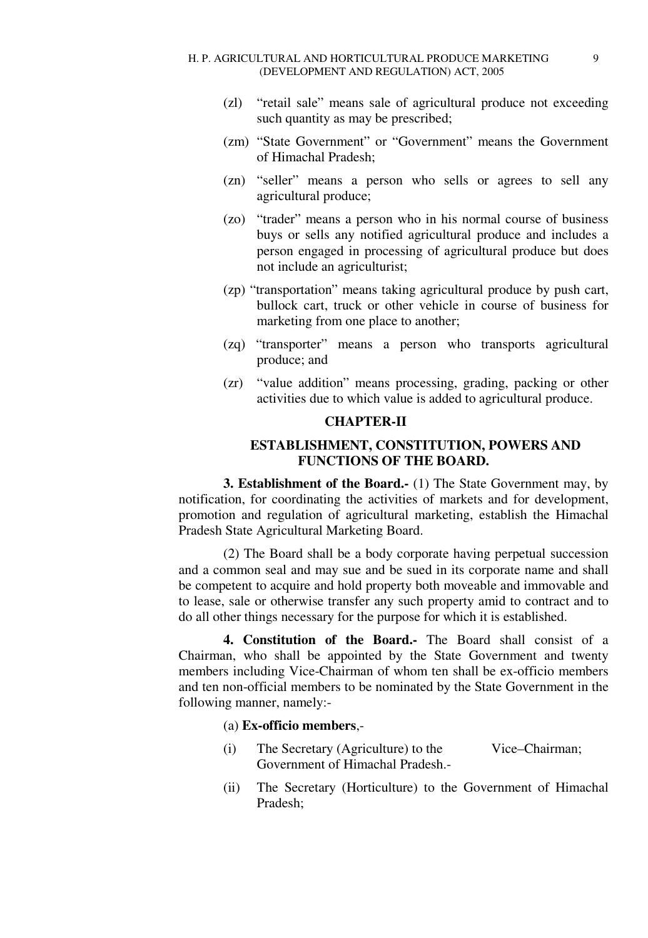- (zl) "retail sale" means sale of agricultural produce not exceeding such quantity as may be prescribed;
- (zm) "State Government" or "Government" means the Government of Himachal Pradesh;
- (zn) "seller" means a person who sells or agrees to sell any agricultural produce;
- (zo) "trader" means a person who in his normal course of business buys or sells any notified agricultural produce and includes a person engaged in processing of agricultural produce but does not include an agriculturist;
- (zp) "transportation" means taking agricultural produce by push cart, bullock cart, truck or other vehicle in course of business for marketing from one place to another;
- (zq) "transporter" means a person who transports agricultural produce; and
- (zr) "value addition" means processing, grading, packing or other activities due to which value is added to agricultural produce.

### **CHAPTER-II**

# **ESTABLISHMENT, CONSTITUTION, POWERS AND FUNCTIONS OF THE BOARD.**

**3. Establishment of the Board.-** (1) The State Government may, by notification, for coordinating the activities of markets and for development, promotion and regulation of agricultural marketing, establish the Himachal Pradesh State Agricultural Marketing Board.

(2) The Board shall be a body corporate having perpetual succession and a common seal and may sue and be sued in its corporate name and shall be competent to acquire and hold property both moveable and immovable and to lease, sale or otherwise transfer any such property amid to contract and to do all other things necessary for the purpose for which it is established.

**4. Constitution of the Board.-** The Board shall consist of a Chairman, who shall be appointed by the State Government and twenty members including Vice-Chairman of whom ten shall be ex-officio members and ten non-official members to be nominated by the State Government in the following manner, namely:-

# (a) **Ex-officio members**,-

- (i) The Secretary (Agriculture) to the Vice–Chairman; Government of Himachal Pradesh.-
- (ii) The Secretary (Horticulture) to the Government of Himachal Pradesh;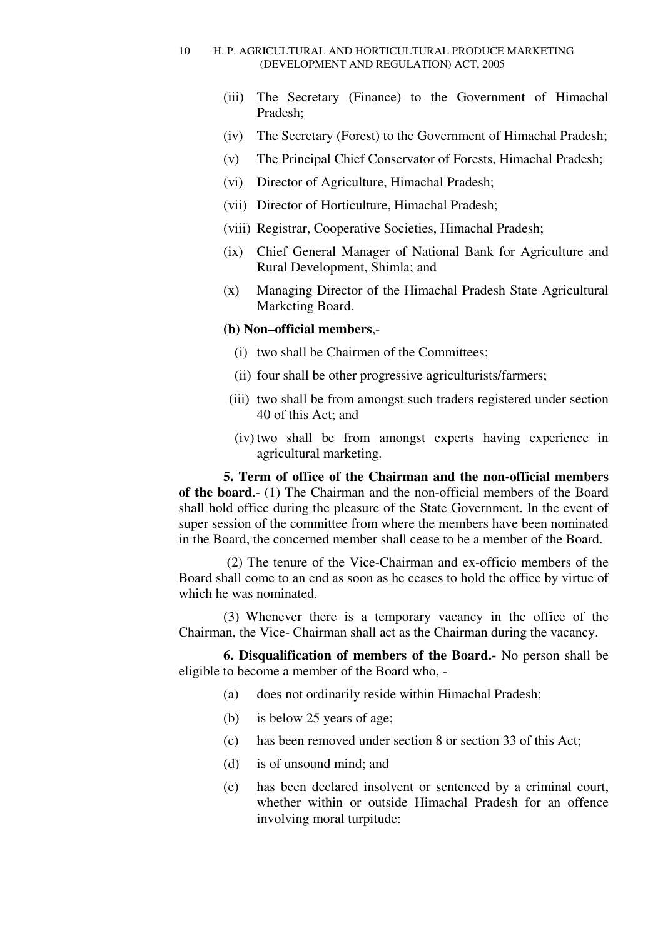- (iii) The Secretary (Finance) to the Government of Himachal Pradesh;
- (iv) The Secretary (Forest) to the Government of Himachal Pradesh;
- (v) The Principal Chief Conservator of Forests, Himachal Pradesh;
- (vi) Director of Agriculture, Himachal Pradesh;
- (vii) Director of Horticulture, Himachal Pradesh;
- (viii) Registrar, Cooperative Societies, Himachal Pradesh;
- (ix) Chief General Manager of National Bank for Agriculture and Rural Development, Shimla; and
- (x) Managing Director of the Himachal Pradesh State Agricultural Marketing Board.

# **(b) Non–official members**,-

- (i) two shall be Chairmen of the Committees;
- (ii) four shall be other progressive agriculturists/farmers;
- (iii) two shall be from amongst such traders registered under section 40 of this Act; and
- (iv) two shall be from amongst experts having experience in agricultural marketing.

**5. Term of office of the Chairman and the non-official members of the board**.- (1) The Chairman and the non-official members of the Board shall hold office during the pleasure of the State Government. In the event of super session of the committee from where the members have been nominated in the Board, the concerned member shall cease to be a member of the Board.

 (2) The tenure of the Vice-Chairman and ex-officio members of the Board shall come to an end as soon as he ceases to hold the office by virtue of which he was nominated.

(3) Whenever there is a temporary vacancy in the office of the Chairman, the Vice- Chairman shall act as the Chairman during the vacancy.

**6. Disqualification of members of the Board.-** No person shall be eligible to become a member of the Board who, -

- (a) does not ordinarily reside within Himachal Pradesh;
- (b) is below 25 years of age;
- (c) has been removed under section 8 or section 33 of this Act;
- (d) is of unsound mind; and
- (e) has been declared insolvent or sentenced by a criminal court, whether within or outside Himachal Pradesh for an offence involving moral turpitude: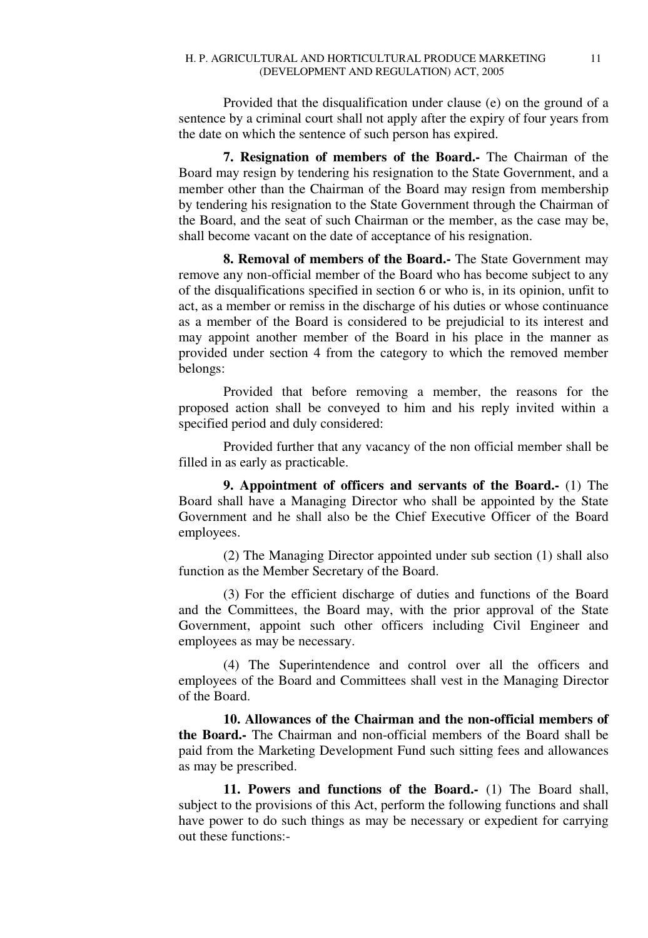Provided that the disqualification under clause (e) on the ground of a sentence by a criminal court shall not apply after the expiry of four years from the date on which the sentence of such person has expired.

**7. Resignation of members of the Board.-** The Chairman of the Board may resign by tendering his resignation to the State Government, and a member other than the Chairman of the Board may resign from membership by tendering his resignation to the State Government through the Chairman of the Board, and the seat of such Chairman or the member, as the case may be, shall become vacant on the date of acceptance of his resignation.

**8. Removal of members of the Board.-** The State Government may remove any non-official member of the Board who has become subject to any of the disqualifications specified in section 6 or who is, in its opinion, unfit to act, as a member or remiss in the discharge of his duties or whose continuance as a member of the Board is considered to be prejudicial to its interest and may appoint another member of the Board in his place in the manner as provided under section 4 from the category to which the removed member belongs:

Provided that before removing a member, the reasons for the proposed action shall be conveyed to him and his reply invited within a specified period and duly considered:

Provided further that any vacancy of the non official member shall be filled in as early as practicable.

**9. Appointment of officers and servants of the Board.-** (1) The Board shall have a Managing Director who shall be appointed by the State Government and he shall also be the Chief Executive Officer of the Board employees.

(2) The Managing Director appointed under sub section (1) shall also function as the Member Secretary of the Board.

(3) For the efficient discharge of duties and functions of the Board and the Committees, the Board may, with the prior approval of the State Government, appoint such other officers including Civil Engineer and employees as may be necessary.

(4) The Superintendence and control over all the officers and employees of the Board and Committees shall vest in the Managing Director of the Board.

**10. Allowances of the Chairman and the non-official members of the Board.-** The Chairman and non-official members of the Board shall be paid from the Marketing Development Fund such sitting fees and allowances as may be prescribed.

**11. Powers and functions of the Board.-** (1) The Board shall, subject to the provisions of this Act, perform the following functions and shall have power to do such things as may be necessary or expedient for carrying out these functions:-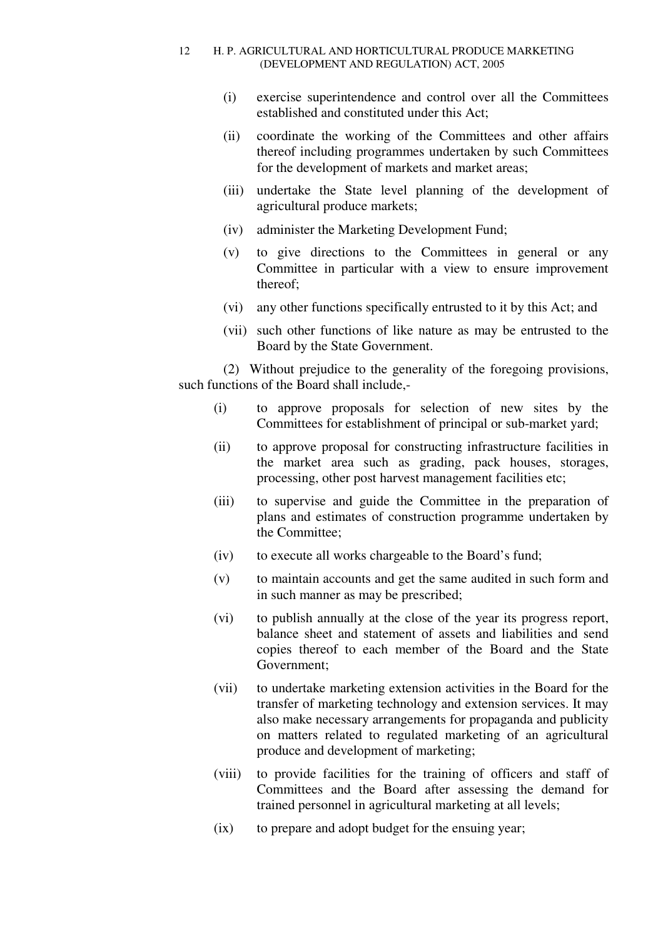- (i) exercise superintendence and control over all the Committees established and constituted under this Act;
- (ii) coordinate the working of the Committees and other affairs thereof including programmes undertaken by such Committees for the development of markets and market areas;
- (iii) undertake the State level planning of the development of agricultural produce markets;
- (iv) administer the Marketing Development Fund;
- (v) to give directions to the Committees in general or any Committee in particular with a view to ensure improvement thereof;
- (vi) any other functions specifically entrusted to it by this Act; and
- (vii) such other functions of like nature as may be entrusted to the Board by the State Government.

(2) Without prejudice to the generality of the foregoing provisions, such functions of the Board shall include,-

- (i) to approve proposals for selection of new sites by the Committees for establishment of principal or sub-market yard;
- (ii) to approve proposal for constructing infrastructure facilities in the market area such as grading, pack houses, storages, processing, other post harvest management facilities etc;
- (iii) to supervise and guide the Committee in the preparation of plans and estimates of construction programme undertaken by the Committee;
- (iv) to execute all works chargeable to the Board's fund;
- (v) to maintain accounts and get the same audited in such form and in such manner as may be prescribed;
- (vi) to publish annually at the close of the year its progress report, balance sheet and statement of assets and liabilities and send copies thereof to each member of the Board and the State Government;
- (vii) to undertake marketing extension activities in the Board for the transfer of marketing technology and extension services. It may also make necessary arrangements for propaganda and publicity on matters related to regulated marketing of an agricultural produce and development of marketing;
- (viii) to provide facilities for the training of officers and staff of Committees and the Board after assessing the demand for trained personnel in agricultural marketing at all levels;
- (ix) to prepare and adopt budget for the ensuing year;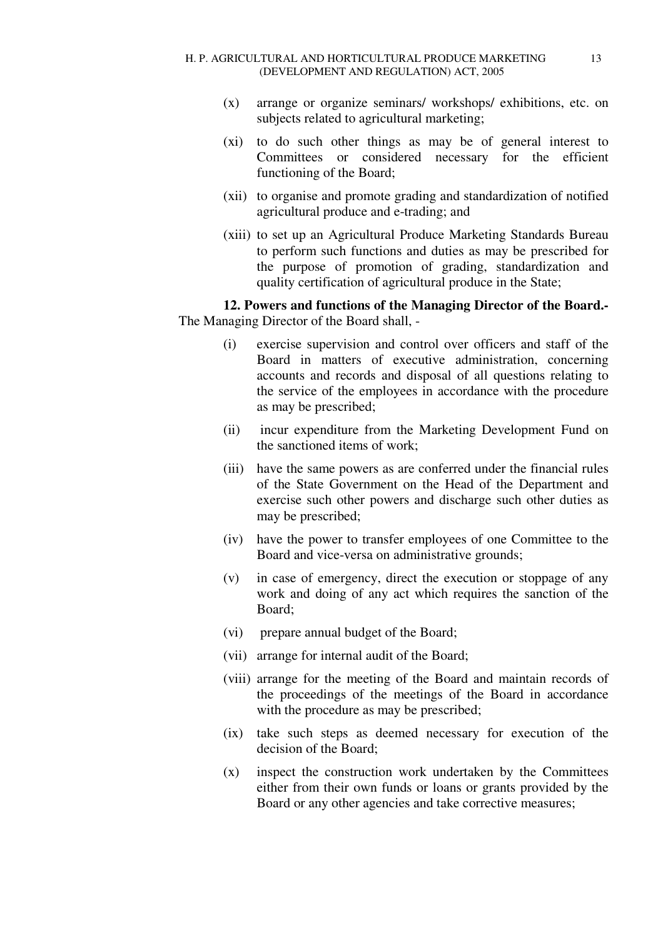- (x) arrange or organize seminars/ workshops/ exhibitions, etc. on subjects related to agricultural marketing;
- (xi) to do such other things as may be of general interest to Committees or considered necessary for the efficient functioning of the Board;
- (xii) to organise and promote grading and standardization of notified agricultural produce and e-trading; and
- (xiii) to set up an Agricultural Produce Marketing Standards Bureau to perform such functions and duties as may be prescribed for the purpose of promotion of grading, standardization and quality certification of agricultural produce in the State;

**12. Powers and functions of the Managing Director of the Board.-** The Managing Director of the Board shall, -

- (i) exercise supervision and control over officers and staff of the Board in matters of executive administration, concerning accounts and records and disposal of all questions relating to the service of the employees in accordance with the procedure as may be prescribed;
- (ii) incur expenditure from the Marketing Development Fund on the sanctioned items of work;
- (iii) have the same powers as are conferred under the financial rules of the State Government on the Head of the Department and exercise such other powers and discharge such other duties as may be prescribed;
- (iv) have the power to transfer employees of one Committee to the Board and vice-versa on administrative grounds;
- (v) in case of emergency, direct the execution or stoppage of any work and doing of any act which requires the sanction of the Board;
- (vi) prepare annual budget of the Board;
- (vii) arrange for internal audit of the Board;
- (viii) arrange for the meeting of the Board and maintain records of the proceedings of the meetings of the Board in accordance with the procedure as may be prescribed;
- (ix) take such steps as deemed necessary for execution of the decision of the Board;
- (x) inspect the construction work undertaken by the Committees either from their own funds or loans or grants provided by the Board or any other agencies and take corrective measures;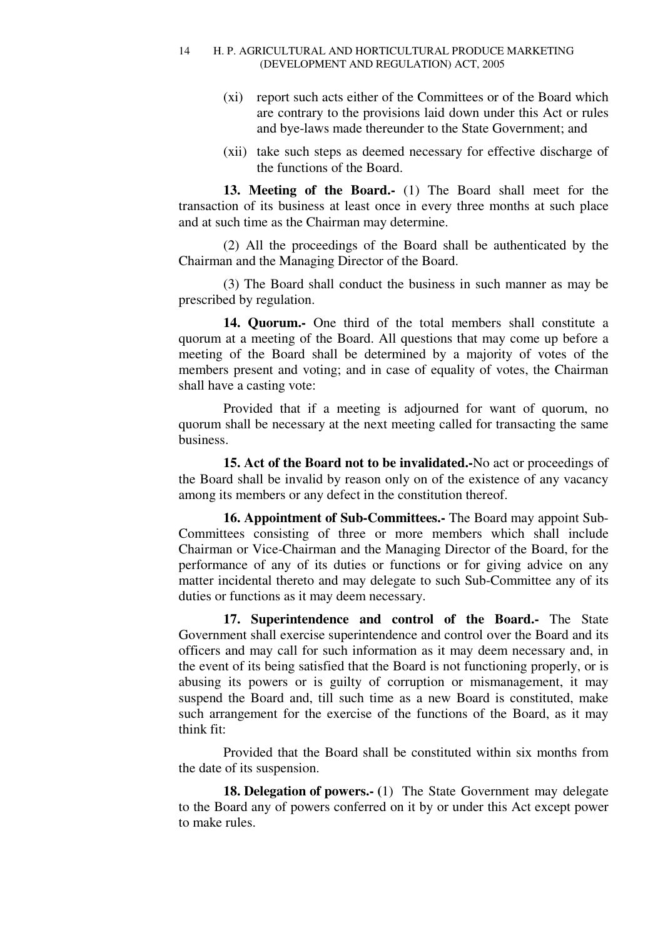- (xi) report such acts either of the Committees or of the Board which are contrary to the provisions laid down under this Act or rules and bye-laws made thereunder to the State Government; and
- (xii) take such steps as deemed necessary for effective discharge of the functions of the Board.

**13. Meeting of the Board.-** (1) The Board shall meet for the transaction of its business at least once in every three months at such place and at such time as the Chairman may determine.

(2) All the proceedings of the Board shall be authenticated by the Chairman and the Managing Director of the Board.

(3) The Board shall conduct the business in such manner as may be prescribed by regulation.

**14. Quorum.-** One third of the total members shall constitute a quorum at a meeting of the Board. All questions that may come up before a meeting of the Board shall be determined by a majority of votes of the members present and voting; and in case of equality of votes, the Chairman shall have a casting vote:

Provided that if a meeting is adjourned for want of quorum, no quorum shall be necessary at the next meeting called for transacting the same business.

**15. Act of the Board not to be invalidated.-**No act or proceedings of the Board shall be invalid by reason only on of the existence of any vacancy among its members or any defect in the constitution thereof.

**16. Appointment of Sub-Committees.-** The Board may appoint Sub-Committees consisting of three or more members which shall include Chairman or Vice-Chairman and the Managing Director of the Board, for the performance of any of its duties or functions or for giving advice on any matter incidental thereto and may delegate to such Sub-Committee any of its duties or functions as it may deem necessary.

**17. Superintendence and control of the Board.-** The State Government shall exercise superintendence and control over the Board and its officers and may call for such information as it may deem necessary and, in the event of its being satisfied that the Board is not functioning properly, or is abusing its powers or is guilty of corruption or mismanagement, it may suspend the Board and, till such time as a new Board is constituted, make such arrangement for the exercise of the functions of the Board, as it may think fit:

Provided that the Board shall be constituted within six months from the date of its suspension.

**18. Delegation of powers.- (**1) The State Government may delegate to the Board any of powers conferred on it by or under this Act except power to make rules.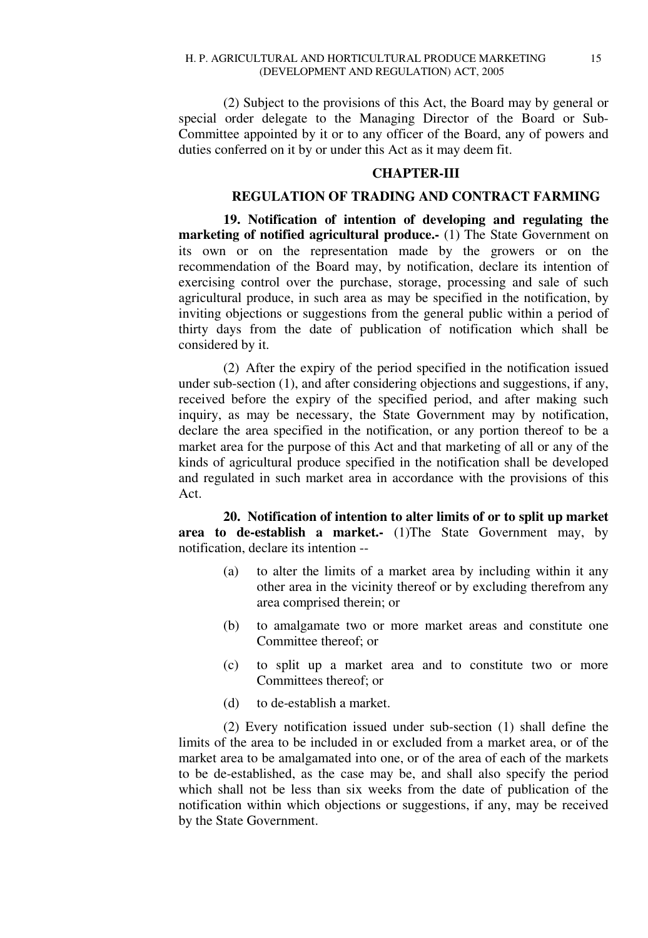(2) Subject to the provisions of this Act, the Board may by general or special order delegate to the Managing Director of the Board or Sub-Committee appointed by it or to any officer of the Board, any of powers and duties conferred on it by or under this Act as it may deem fit.

# **CHAPTER-III**

# **REGULATION OF TRADING AND CONTRACT FARMING**

**19. Notification of intention of developing and regulating the marketing of notified agricultural produce.** (1) The State Government on its own or on the representation made by the growers or on the recommendation of the Board may, by notification, declare its intention of exercising control over the purchase, storage, processing and sale of such agricultural produce, in such area as may be specified in the notification, by inviting objections or suggestions from the general public within a period of thirty days from the date of publication of notification which shall be considered by it.

(2) After the expiry of the period specified in the notification issued under sub-section (1), and after considering objections and suggestions, if any, received before the expiry of the specified period, and after making such inquiry, as may be necessary, the State Government may by notification, declare the area specified in the notification, or any portion thereof to be a market area for the purpose of this Act and that marketing of all or any of the kinds of agricultural produce specified in the notification shall be developed and regulated in such market area in accordance with the provisions of this Act.

**20. Notification of intention to alter limits of or to split up market area to de-establish a market.-** (1)The State Government may, by notification, declare its intention --

- (a) to alter the limits of a market area by including within it any other area in the vicinity thereof or by excluding therefrom any area comprised therein; or
- (b) to amalgamate two or more market areas and constitute one Committee thereof; or
- (c) to split up a market area and to constitute two or more Committees thereof; or
- (d) to de-establish a market.

(2) Every notification issued under sub-section (1) shall define the limits of the area to be included in or excluded from a market area, or of the market area to be amalgamated into one, or of the area of each of the markets to be de-established, as the case may be, and shall also specify the period which shall not be less than six weeks from the date of publication of the notification within which objections or suggestions, if any, may be received by the State Government.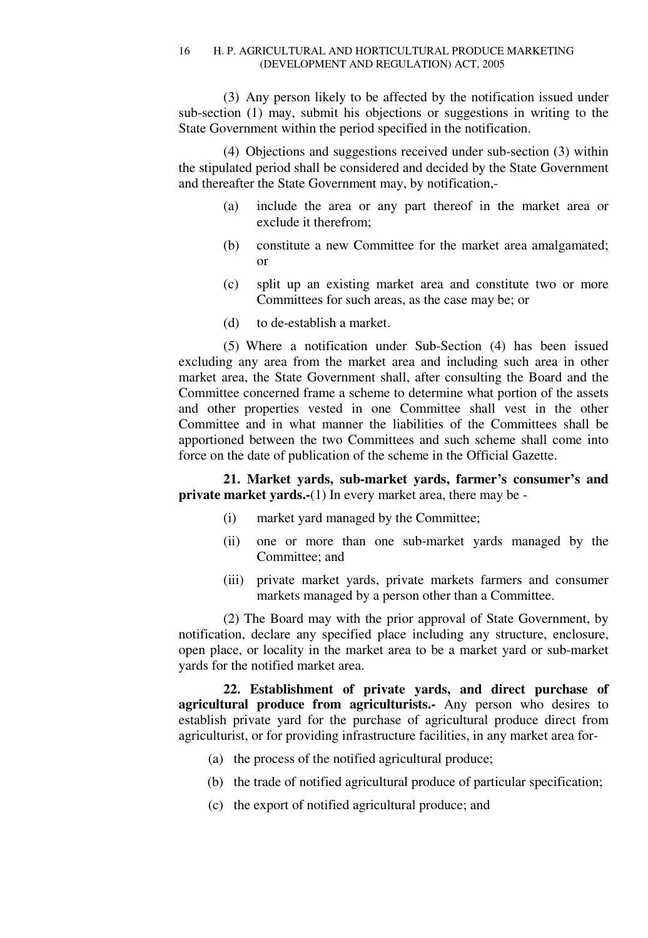(3) Any person likely to be affected by the notification issued under sub-section (1) may, submit his objections or suggestions in writing to the State Government within the period specified in the notification.

(4) Objections and suggestions received under sub-section (3) within the stipulated period shall be considered and decided by the State Government and thereafter the State Government may, by notification,-

- (a) include the area or any part thereof in the market area or exclude it therefrom;
- (b) constitute a new Committee for the market area amalgamated; or
- (c) split up an existing market area and constitute two or more Committees for such areas, as the case may be; or
- (d) to de-establish a market.

(5) Where a notification under Sub-Section (4) has been issued excluding any area from the market area and including such area in other market area, the State Government shall, after consulting the Board and the Committee concerned frame a scheme to determine what portion of the assets and other properties vested in one Committee shall vest in the other Committee and in what manner the liabilities of the Committees shall be apportioned between the two Committees and such scheme shall come into force on the date of publication of the scheme in the Official Gazette.

**21. Market yards, sub-market yards, farmer's consumer's and private market yards.-**(1) In every market area, there may be -

- (i) market yard managed by the Committee;
- (ii) one or more than one sub-market yards managed by the Committee; and
- (iii) private market yards, private markets farmers and consumer markets managed by a person other than a Committee.

(2) The Board may with the prior approval of State Government, by notification, declare any specified place including any structure, enclosure, open place, or locality in the market area to be a market yard or sub-market yards for the notified market area.

**22. Establishment of private yards, and direct purchase of agricultural produce from agriculturists.-** Any person who desires to establish private yard for the purchase of agricultural produce direct from agriculturist, or for providing infrastructure facilities, in any market area for-

- (a) the process of the notified agricultural produce;
- (b) the trade of notified agricultural produce of particular specification;
- (c) the export of notified agricultural produce; and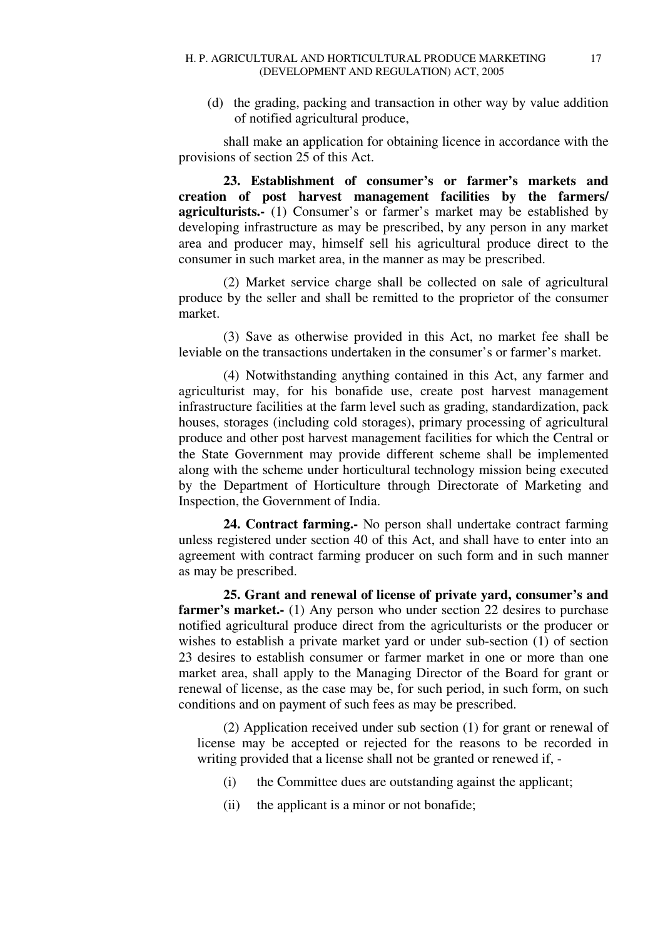(d) the grading, packing and transaction in other way by value addition of notified agricultural produce,

shall make an application for obtaining licence in accordance with the provisions of section 25 of this Act.

**23. Establishment of consumer's or farmer's markets and creation of post harvest management facilities by the farmers/ agriculturists.-** (1) Consumer's or farmer's market may be established by developing infrastructure as may be prescribed, by any person in any market area and producer may, himself sell his agricultural produce direct to the consumer in such market area, in the manner as may be prescribed.

(2) Market service charge shall be collected on sale of agricultural produce by the seller and shall be remitted to the proprietor of the consumer market.

(3) Save as otherwise provided in this Act, no market fee shall be leviable on the transactions undertaken in the consumer's or farmer's market.

(4) Notwithstanding anything contained in this Act, any farmer and agriculturist may, for his bonafide use, create post harvest management infrastructure facilities at the farm level such as grading, standardization, pack houses, storages (including cold storages), primary processing of agricultural produce and other post harvest management facilities for which the Central or the State Government may provide different scheme shall be implemented along with the scheme under horticultural technology mission being executed by the Department of Horticulture through Directorate of Marketing and Inspection, the Government of India.

**24. Contract farming.-** No person shall undertake contract farming unless registered under section 40 of this Act, and shall have to enter into an agreement with contract farming producer on such form and in such manner as may be prescribed.

**25. Grant and renewal of license of private yard, consumer's and farmer's market.-** (1) Any person who under section 22 desires to purchase notified agricultural produce direct from the agriculturists or the producer or wishes to establish a private market yard or under sub-section (1) of section 23 desires to establish consumer or farmer market in one or more than one market area, shall apply to the Managing Director of the Board for grant or renewal of license, as the case may be, for such period, in such form, on such conditions and on payment of such fees as may be prescribed.

(2) Application received under sub section (1) for grant or renewal of license may be accepted or rejected for the reasons to be recorded in writing provided that a license shall not be granted or renewed if, -

- (i) the Committee dues are outstanding against the applicant;
- (ii) the applicant is a minor or not bonafide;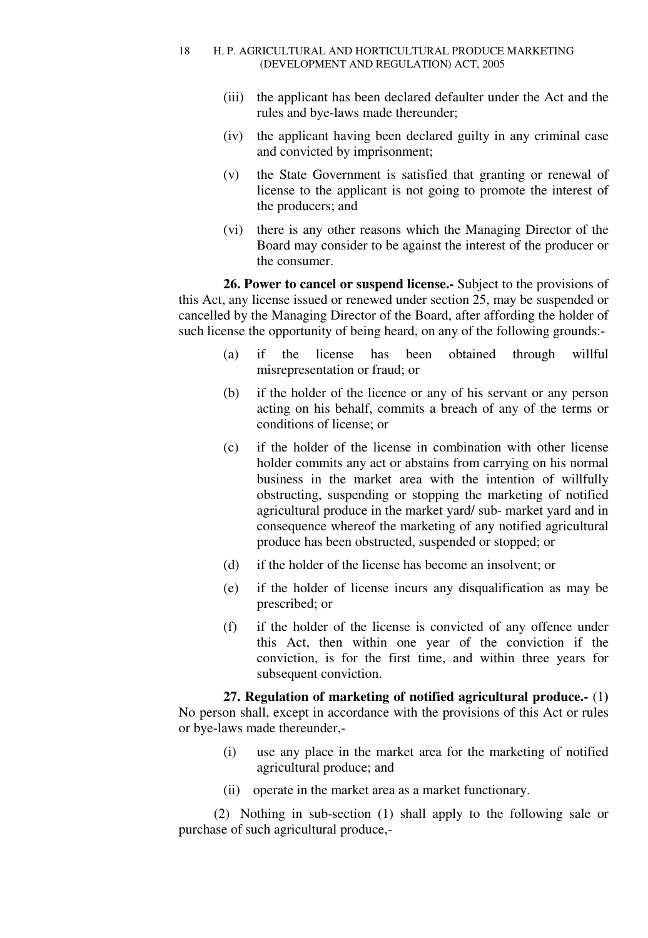- (iii) the applicant has been declared defaulter under the Act and the rules and bye-laws made thereunder;
- (iv) the applicant having been declared guilty in any criminal case and convicted by imprisonment;
- (v) the State Government is satisfied that granting or renewal of license to the applicant is not going to promote the interest of the producers; and
- (vi) there is any other reasons which the Managing Director of the Board may consider to be against the interest of the producer or the consumer.

**26. Power to cancel or suspend license.-** Subject to the provisions of this Act, any license issued or renewed under section 25, may be suspended or cancelled by the Managing Director of the Board, after affording the holder of such license the opportunity of being heard, on any of the following grounds:-

- (a) if the license has been obtained through willful misrepresentation or fraud; or
- (b) if the holder of the licence or any of his servant or any person acting on his behalf, commits a breach of any of the terms or conditions of license; or
- (c) if the holder of the license in combination with other license holder commits any act or abstains from carrying on his normal business in the market area with the intention of willfully obstructing, suspending or stopping the marketing of notified agricultural produce in the market yard/ sub- market yard and in consequence whereof the marketing of any notified agricultural produce has been obstructed, suspended or stopped; or
- (d) if the holder of the license has become an insolvent; or
- (e) if the holder of license incurs any disqualification as may be prescribed; or
- (f) if the holder of the license is convicted of any offence under this Act, then within one year of the conviction if the conviction, is for the first time, and within three years for subsequent conviction.

**27. Regulation of marketing of notified agricultural produce.-** (1**)**  No person shall, except in accordance with the provisions of this Act or rules or bye-laws made thereunder,-

- (i) use any place in the market area for the marketing of notified agricultural produce; and
- (ii) operate in the market area as a market functionary.

(2) Nothing in sub-section (1) shall apply to the following sale or purchase of such agricultural produce,-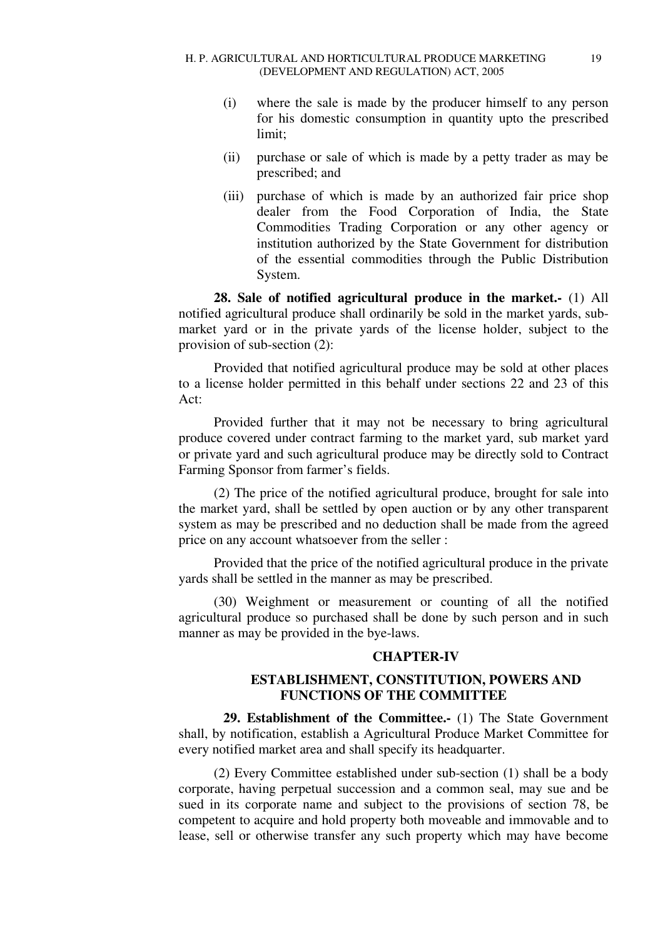- (i) where the sale is made by the producer himself to any person for his domestic consumption in quantity upto the prescribed limit;
- (ii) purchase or sale of which is made by a petty trader as may be prescribed; and
- (iii) purchase of which is made by an authorized fair price shop dealer from the Food Corporation of India, the State Commodities Trading Corporation or any other agency or institution authorized by the State Government for distribution of the essential commodities through the Public Distribution System.

**28. Sale of notified agricultural produce in the market.-** (1) All notified agricultural produce shall ordinarily be sold in the market yards, submarket yard or in the private yards of the license holder, subject to the provision of sub-section (2):

Provided that notified agricultural produce may be sold at other places to a license holder permitted in this behalf under sections 22 and 23 of this Act:

Provided further that it may not be necessary to bring agricultural produce covered under contract farming to the market yard, sub market yard or private yard and such agricultural produce may be directly sold to Contract Farming Sponsor from farmer's fields.

(2) The price of the notified agricultural produce, brought for sale into the market yard, shall be settled by open auction or by any other transparent system as may be prescribed and no deduction shall be made from the agreed price on any account whatsoever from the seller :

Provided that the price of the notified agricultural produce in the private yards shall be settled in the manner as may be prescribed.

(30) Weighment or measurement or counting of all the notified agricultural produce so purchased shall be done by such person and in such manner as may be provided in the bye-laws.

# **CHAPTER-IV**

# **ESTABLISHMENT, CONSTITUTION, POWERS AND FUNCTIONS OF THE COMMITTEE**

**29. Establishment of the Committee.-** (1) The State Government shall, by notification, establish a Agricultural Produce Market Committee for every notified market area and shall specify its headquarter.

(2) Every Committee established under sub-section (1) shall be a body corporate, having perpetual succession and a common seal, may sue and be sued in its corporate name and subject to the provisions of section 78, be competent to acquire and hold property both moveable and immovable and to lease, sell or otherwise transfer any such property which may have become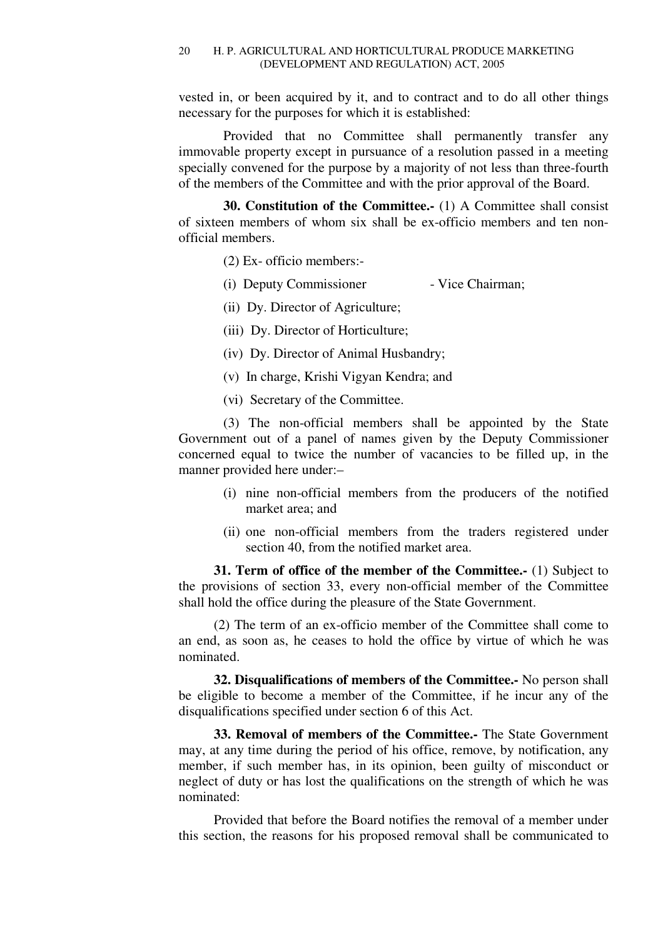vested in, or been acquired by it, and to contract and to do all other things necessary for the purposes for which it is established:

Provided that no Committee shall permanently transfer any immovable property except in pursuance of a resolution passed in a meeting specially convened for the purpose by a majority of not less than three-fourth of the members of the Committee and with the prior approval of the Board.

**30. Constitution of the Committee.-** (1) A Committee shall consist of sixteen members of whom six shall be ex-officio members and ten nonofficial members.

(2) Ex- officio members:-

- (i) Deputy Commissioner Vice Chairman;
- (ii) Dy. Director of Agriculture;
- (iii) Dy. Director of Horticulture;
- (iv) Dy. Director of Animal Husbandry;
- (v) In charge, Krishi Vigyan Kendra; and
- (vi) Secretary of the Committee.

(3) The non-official members shall be appointed by the State Government out of a panel of names given by the Deputy Commissioner concerned equal to twice the number of vacancies to be filled up, in the manner provided here under:–

- (i) nine non-official members from the producers of the notified market area; and
- (ii) one non-official members from the traders registered under section 40, from the notified market area.

**31. Term of office of the member of the Committee.-** (1) Subject to the provisions of section 33, every non-official member of the Committee shall hold the office during the pleasure of the State Government.

(2) The term of an ex-officio member of the Committee shall come to an end, as soon as, he ceases to hold the office by virtue of which he was nominated.

**32. Disqualifications of members of the Committee.-** No person shall be eligible to become a member of the Committee, if he incur any of the disqualifications specified under section 6 of this Act.

**33. Removal of members of the Committee.-** The State Government may, at any time during the period of his office, remove, by notification, any member, if such member has, in its opinion, been guilty of misconduct or neglect of duty or has lost the qualifications on the strength of which he was nominated:

Provided that before the Board notifies the removal of a member under this section, the reasons for his proposed removal shall be communicated to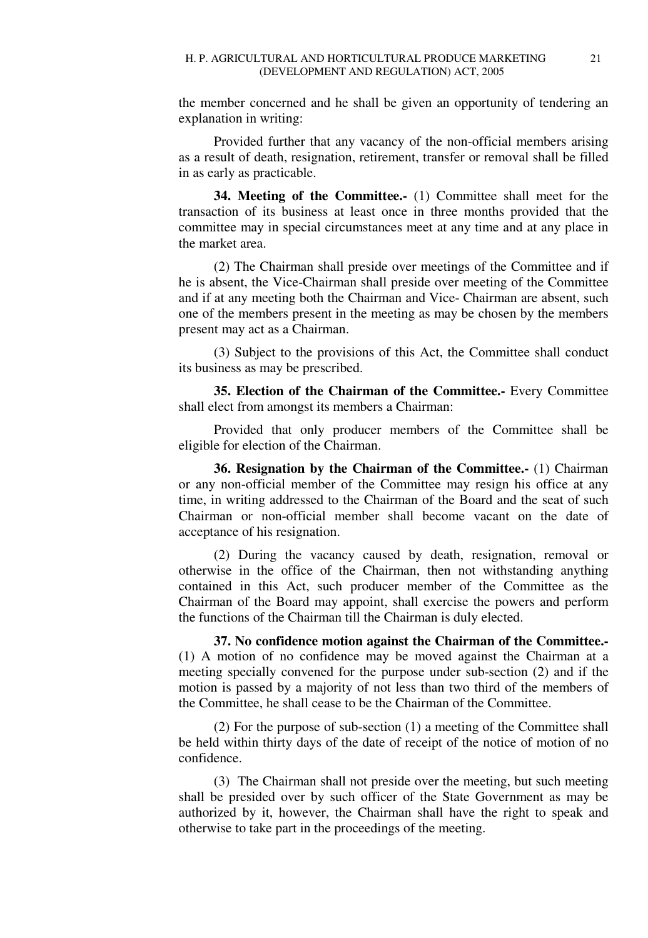the member concerned and he shall be given an opportunity of tendering an explanation in writing:

Provided further that any vacancy of the non-official members arising as a result of death, resignation, retirement, transfer or removal shall be filled in as early as practicable.

**34. Meeting of the Committee.-** (1) Committee shall meet for the transaction of its business at least once in three months provided that the committee may in special circumstances meet at any time and at any place in the market area.

(2) The Chairman shall preside over meetings of the Committee and if he is absent, the Vice-Chairman shall preside over meeting of the Committee and if at any meeting both the Chairman and Vice- Chairman are absent, such one of the members present in the meeting as may be chosen by the members present may act as a Chairman.

(3) Subject to the provisions of this Act, the Committee shall conduct its business as may be prescribed.

**35. Election of the Chairman of the Committee.-** Every Committee shall elect from amongst its members a Chairman:

Provided that only producer members of the Committee shall be eligible for election of the Chairman.

**36. Resignation by the Chairman of the Committee.-** (1) Chairman or any non-official member of the Committee may resign his office at any time, in writing addressed to the Chairman of the Board and the seat of such Chairman or non-official member shall become vacant on the date of acceptance of his resignation.

(2) During the vacancy caused by death, resignation, removal or otherwise in the office of the Chairman, then not withstanding anything contained in this Act, such producer member of the Committee as the Chairman of the Board may appoint, shall exercise the powers and perform the functions of the Chairman till the Chairman is duly elected.

**37. No confidence motion against the Chairman of the Committee.-**  (1) A motion of no confidence may be moved against the Chairman at a meeting specially convened for the purpose under sub-section (2) and if the motion is passed by a majority of not less than two third of the members of the Committee, he shall cease to be the Chairman of the Committee.

(2) For the purpose of sub-section (1) a meeting of the Committee shall be held within thirty days of the date of receipt of the notice of motion of no confidence.

(3) The Chairman shall not preside over the meeting, but such meeting shall be presided over by such officer of the State Government as may be authorized by it, however, the Chairman shall have the right to speak and otherwise to take part in the proceedings of the meeting.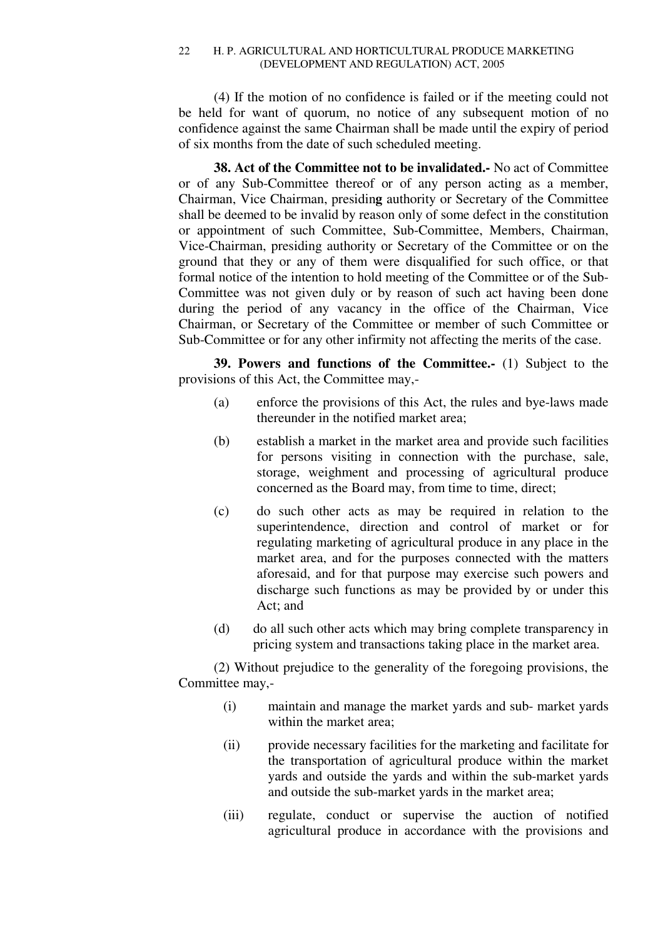(4) If the motion of no confidence is failed or if the meeting could not be held for want of quorum, no notice of any subsequent motion of no confidence against the same Chairman shall be made until the expiry of period of six months from the date of such scheduled meeting.

**38. Act of the Committee not to be invalidated.-** No act of Committee or of any Sub-Committee thereof or of any person acting as a member, Chairman, Vice Chairman, presidin**g** authority or Secretary of the Committee shall be deemed to be invalid by reason only of some defect in the constitution or appointment of such Committee, Sub-Committee, Members, Chairman, Vice-Chairman, presiding authority or Secretary of the Committee or on the ground that they or any of them were disqualified for such office, or that formal notice of the intention to hold meeting of the Committee or of the Sub-Committee was not given duly or by reason of such act having been done during the period of any vacancy in the office of the Chairman, Vice Chairman, or Secretary of the Committee or member of such Committee or Sub-Committee or for any other infirmity not affecting the merits of the case.

**39. Powers and functions of the Committee.-** (1) Subject to the provisions of this Act, the Committee may,-

- (a) enforce the provisions of this Act, the rules and bye-laws made thereunder in the notified market area;
- (b) establish a market in the market area and provide such facilities for persons visiting in connection with the purchase, sale, storage, weighment and processing of agricultural produce concerned as the Board may, from time to time, direct;
- (c) do such other acts as may be required in relation to the superintendence, direction and control of market or for regulating marketing of agricultural produce in any place in the market area, and for the purposes connected with the matters aforesaid, and for that purpose may exercise such powers and discharge such functions as may be provided by or under this Act; and
- (d) do all such other acts which may bring complete transparency in pricing system and transactions taking place in the market area.

(2) Without prejudice to the generality of the foregoing provisions, the Committee may,-

- (i) maintain and manage the market yards and sub- market yards within the market area;
- (ii) provide necessary facilities for the marketing and facilitate for the transportation of agricultural produce within the market yards and outside the yards and within the sub-market yards and outside the sub-market yards in the market area;
- (iii) regulate, conduct or supervise the auction of notified agricultural produce in accordance with the provisions and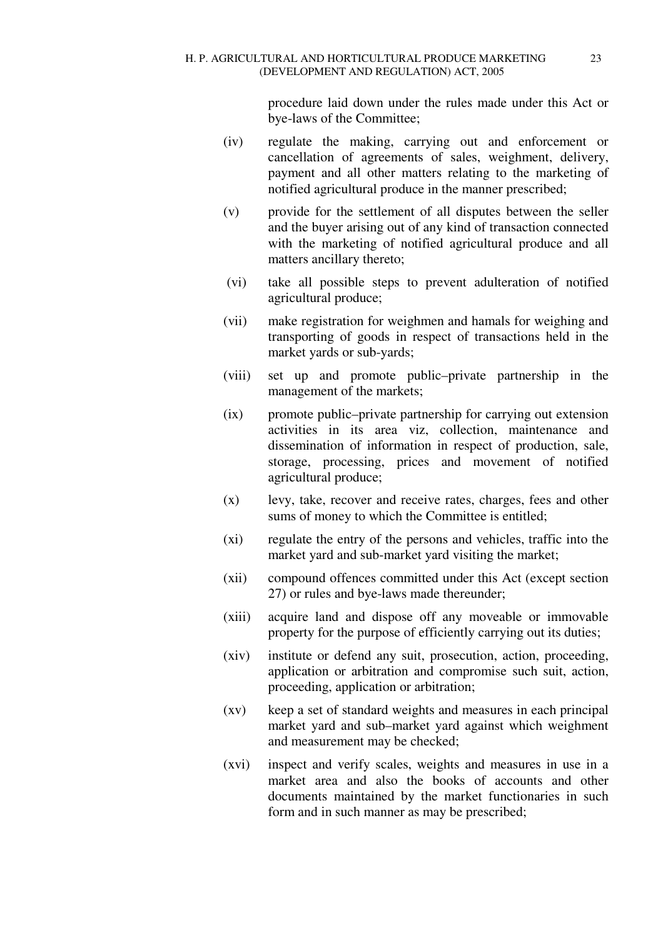procedure laid down under the rules made under this Act or bye-laws of the Committee;

- (iv) regulate the making, carrying out and enforcement or cancellation of agreements of sales, weighment, delivery, payment and all other matters relating to the marketing of notified agricultural produce in the manner prescribed;
- (v) provide for the settlement of all disputes between the seller and the buyer arising out of any kind of transaction connected with the marketing of notified agricultural produce and all matters ancillary thereto;
- (vi) take all possible steps to prevent adulteration of notified agricultural produce;
- (vii) make registration for weighmen and hamals for weighing and transporting of goods in respect of transactions held in the market yards or sub-yards;
- (viii) set up and promote public–private partnership in the management of the markets;
- (ix) promote public–private partnership for carrying out extension activities in its area viz, collection, maintenance and dissemination of information in respect of production, sale, storage, processing, prices and movement of notified agricultural produce;
- (x) levy, take, recover and receive rates, charges, fees and other sums of money to which the Committee is entitled;
- (xi) regulate the entry of the persons and vehicles, traffic into the market yard and sub-market yard visiting the market;
- (xii) compound offences committed under this Act (except section 27) or rules and bye-laws made thereunder;
- (xiii) acquire land and dispose off any moveable or immovable property for the purpose of efficiently carrying out its duties;
- (xiv) institute or defend any suit, prosecution, action, proceeding, application or arbitration and compromise such suit, action, proceeding, application or arbitration;
- (xv) keep a set of standard weights and measures in each principal market yard and sub–market yard against which weighment and measurement may be checked;
- (xvi) inspect and verify scales, weights and measures in use in a market area and also the books of accounts and other documents maintained by the market functionaries in such form and in such manner as may be prescribed;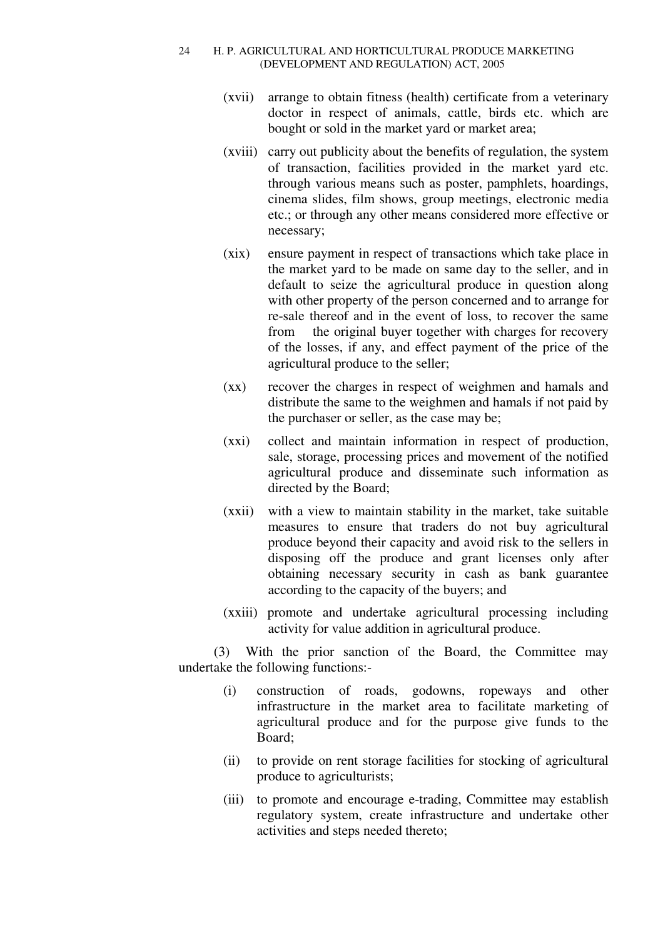- (xvii) arrange to obtain fitness (health) certificate from a veterinary doctor in respect of animals, cattle, birds etc. which are bought or sold in the market yard or market area;
- (xviii) carry out publicity about the benefits of regulation, the system of transaction, facilities provided in the market yard etc. through various means such as poster, pamphlets, hoardings, cinema slides, film shows, group meetings, electronic media etc.; or through any other means considered more effective or necessary;
- (xix) ensure payment in respect of transactions which take place in the market yard to be made on same day to the seller, and in default to seize the agricultural produce in question along with other property of the person concerned and to arrange for re-sale thereof and in the event of loss, to recover the same from the original buyer together with charges for recovery of the losses, if any, and effect payment of the price of the agricultural produce to the seller;
- (xx) recover the charges in respect of weighmen and hamals and distribute the same to the weighmen and hamals if not paid by the purchaser or seller, as the case may be;
- (xxi) collect and maintain information in respect of production, sale, storage, processing prices and movement of the notified agricultural produce and disseminate such information as directed by the Board;
- (xxii) with a view to maintain stability in the market, take suitable measures to ensure that traders do not buy agricultural produce beyond their capacity and avoid risk to the sellers in disposing off the produce and grant licenses only after obtaining necessary security in cash as bank guarantee according to the capacity of the buyers; and
- (xxiii) promote and undertake agricultural processing including activity for value addition in agricultural produce.

(3) With the prior sanction of the Board, the Committee may undertake the following functions:-

- (i) construction of roads, godowns, ropeways and other infrastructure in the market area to facilitate marketing of agricultural produce and for the purpose give funds to the Board;
- (ii) to provide on rent storage facilities for stocking of agricultural produce to agriculturists;
- (iii) to promote and encourage e-trading, Committee may establish regulatory system, create infrastructure and undertake other activities and steps needed thereto;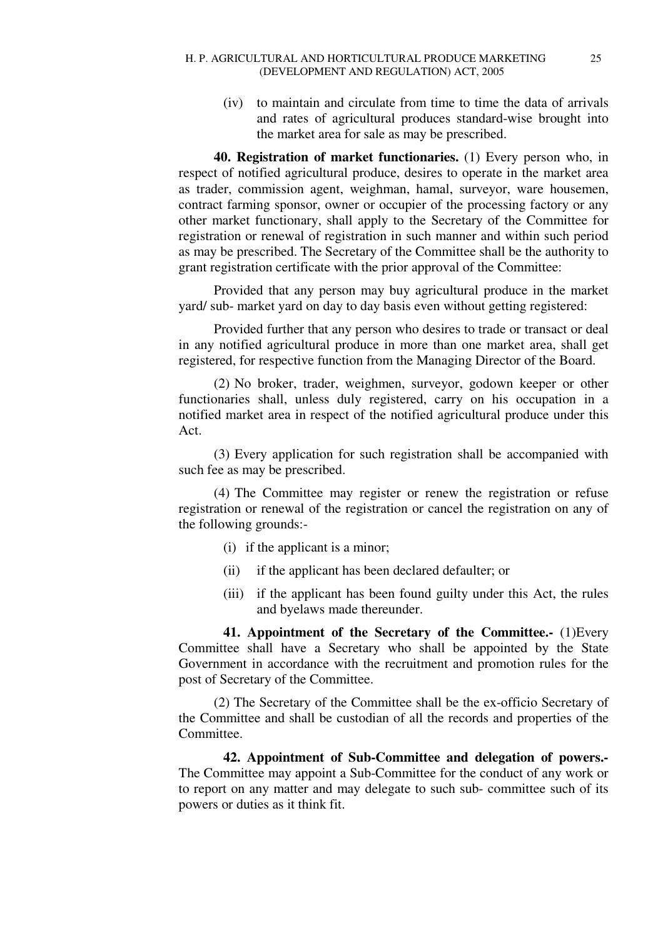(iv) to maintain and circulate from time to time the data of arrivals and rates of agricultural produces standard-wise brought into the market area for sale as may be prescribed.

**40. Registration of market functionaries.** (1) Every person who, in respect of notified agricultural produce, desires to operate in the market area as trader, commission agent, weighman, hamal, surveyor, ware housemen, contract farming sponsor, owner or occupier of the processing factory or any other market functionary, shall apply to the Secretary of the Committee for registration or renewal of registration in such manner and within such period as may be prescribed. The Secretary of the Committee shall be the authority to grant registration certificate with the prior approval of the Committee:

Provided that any person may buy agricultural produce in the market yard/ sub- market yard on day to day basis even without getting registered:

Provided further that any person who desires to trade or transact or deal in any notified agricultural produce in more than one market area, shall get registered, for respective function from the Managing Director of the Board.

(2) No broker, trader, weighmen, surveyor, godown keeper or other functionaries shall, unless duly registered, carry on his occupation in a notified market area in respect of the notified agricultural produce under this Act.

(3) Every application for such registration shall be accompanied with such fee as may be prescribed.

(4) The Committee may register or renew the registration or refuse registration or renewal of the registration or cancel the registration on any of the following grounds:-

- (i) if the applicant is a minor;
- (ii) if the applicant has been declared defaulter; or
- (iii) if the applicant has been found guilty under this Act, the rules and byelaws made thereunder.

**41. Appointment of the Secretary of the Committee.-** (1)Every Committee shall have a Secretary who shall be appointed by the State Government in accordance with the recruitment and promotion rules for the post of Secretary of the Committee.

(2) The Secretary of the Committee shall be the ex-officio Secretary of the Committee and shall be custodian of all the records and properties of the Committee.

**42. Appointment of Sub-Committee and delegation of powers.-** The Committee may appoint a Sub-Committee for the conduct of any work or to report on any matter and may delegate to such sub- committee such of its powers or duties as it think fit.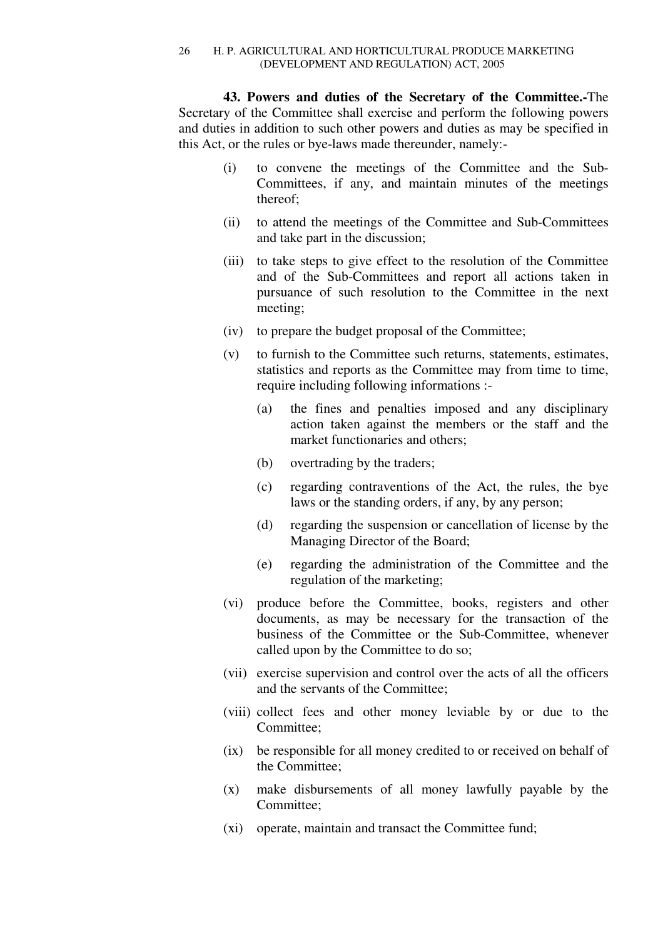**43. Powers and duties of the Secretary of the Committee.-**The Secretary of the Committee shall exercise and perform the following powers and duties in addition to such other powers and duties as may be specified in this Act, or the rules or bye-laws made thereunder, namely:-

- (i) to convene the meetings of the Committee and the Sub-Committees, if any, and maintain minutes of the meetings thereof;
- (ii) to attend the meetings of the Committee and Sub-Committees and take part in the discussion;
- (iii) to take steps to give effect to the resolution of the Committee and of the Sub-Committees and report all actions taken in pursuance of such resolution to the Committee in the next meeting;
- (iv) to prepare the budget proposal of the Committee;
- (v) to furnish to the Committee such returns, statements, estimates, statistics and reports as the Committee may from time to time, require including following informations :-
	- (a) the fines and penalties imposed and any disciplinary action taken against the members or the staff and the market functionaries and others;
	- (b) overtrading by the traders;
	- (c) regarding contraventions of the Act, the rules, the bye laws or the standing orders, if any, by any person;
	- (d) regarding the suspension or cancellation of license by the Managing Director of the Board;
	- (e) regarding the administration of the Committee and the regulation of the marketing;
- (vi) produce before the Committee, books, registers and other documents, as may be necessary for the transaction of the business of the Committee or the Sub-Committee, whenever called upon by the Committee to do so;
- (vii) exercise supervision and control over the acts of all the officers and the servants of the Committee;
- (viii) collect fees and other money leviable by or due to the Committee;
- (ix) be responsible for all money credited to or received on behalf of the Committee;
- (x) make disbursements of all money lawfully payable by the Committee;
- (xi) operate, maintain and transact the Committee fund;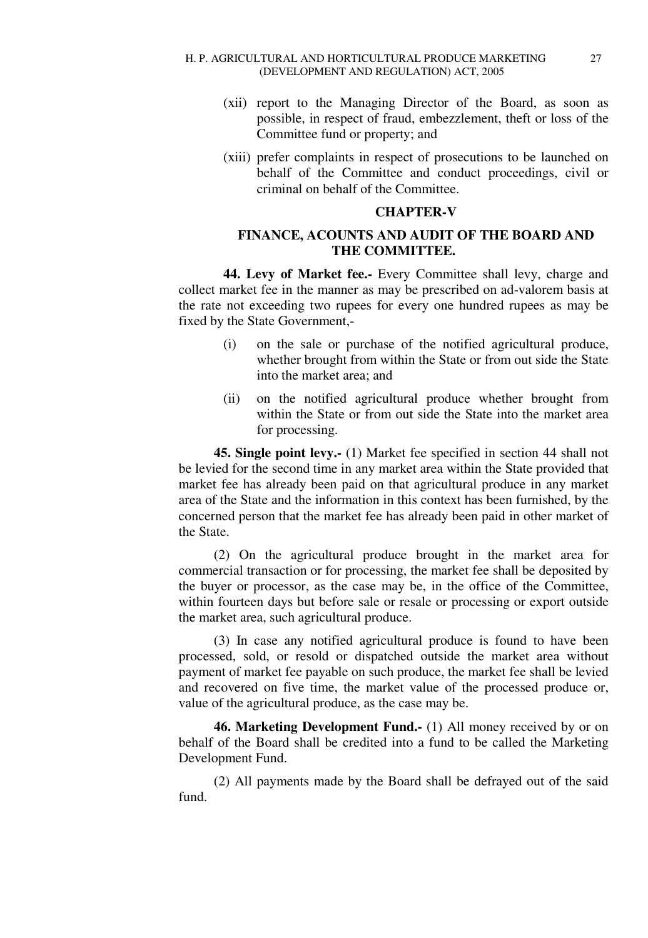- (xii) report to the Managing Director of the Board, as soon as possible, in respect of fraud, embezzlement, theft or loss of the Committee fund or property; and
- (xiii) prefer complaints in respect of prosecutions to be launched on behalf of the Committee and conduct proceedings, civil or criminal on behalf of the Committee.

# **CHAPTER-V**

# **FINANCE, ACOUNTS AND AUDIT OF THE BOARD AND THE COMMITTEE.**

**44. Levy of Market fee.-** Every Committee shall levy, charge and collect market fee in the manner as may be prescribed on ad-valorem basis at the rate not exceeding two rupees for every one hundred rupees as may be fixed by the State Government,-

- (i) on the sale or purchase of the notified agricultural produce, whether brought from within the State or from out side the State into the market area; and
- (ii) on the notified agricultural produce whether brought from within the State or from out side the State into the market area for processing.

**45. Single point levy.-** (1) Market fee specified in section 44 shall not be levied for the second time in any market area within the State provided that market fee has already been paid on that agricultural produce in any market area of the State and the information in this context has been furnished, by the concerned person that the market fee has already been paid in other market of the State.

(2) On the agricultural produce brought in the market area for commercial transaction or for processing, the market fee shall be deposited by the buyer or processor, as the case may be, in the office of the Committee, within fourteen days but before sale or resale or processing or export outside the market area, such agricultural produce.

(3) In case any notified agricultural produce is found to have been processed, sold, or resold or dispatched outside the market area without payment of market fee payable on such produce, the market fee shall be levied and recovered on five time, the market value of the processed produce or, value of the agricultural produce, as the case may be.

**46. Marketing Development Fund.-** (1) All money received by or on behalf of the Board shall be credited into a fund to be called the Marketing Development Fund.

(2) All payments made by the Board shall be defrayed out of the said fund.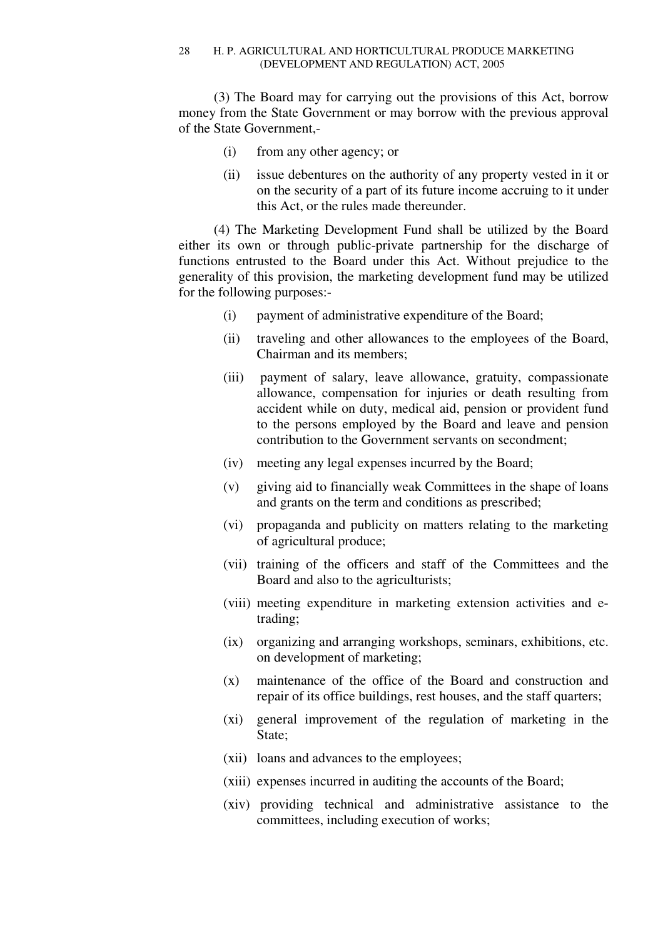(3) The Board may for carrying out the provisions of this Act, borrow money from the State Government or may borrow with the previous approval of the State Government,-

- (i) from any other agency; or
- (ii) issue debentures on the authority of any property vested in it or on the security of a part of its future income accruing to it under this Act, or the rules made thereunder.

(4) The Marketing Development Fund shall be utilized by the Board either its own or through public-private partnership for the discharge of functions entrusted to the Board under this Act. Without prejudice to the generality of this provision, the marketing development fund may be utilized for the following purposes:-

- (i) payment of administrative expenditure of the Board;
- (ii) traveling and other allowances to the employees of the Board, Chairman and its members;
- (iii) payment of salary, leave allowance, gratuity, compassionate allowance, compensation for injuries or death resulting from accident while on duty, medical aid, pension or provident fund to the persons employed by the Board and leave and pension contribution to the Government servants on secondment;
- (iv) meeting any legal expenses incurred by the Board;
- (v) giving aid to financially weak Committees in the shape of loans and grants on the term and conditions as prescribed;
- (vi) propaganda and publicity on matters relating to the marketing of agricultural produce;
- (vii) training of the officers and staff of the Committees and the Board and also to the agriculturists;
- (viii) meeting expenditure in marketing extension activities and etrading;
- (ix) organizing and arranging workshops, seminars, exhibitions, etc. on development of marketing;
- (x) maintenance of the office of the Board and construction and repair of its office buildings, rest houses, and the staff quarters;
- (xi) general improvement of the regulation of marketing in the State;
- (xii) loans and advances to the employees;
- (xiii) expenses incurred in auditing the accounts of the Board;
- (xiv) providing technical and administrative assistance to the committees, including execution of works;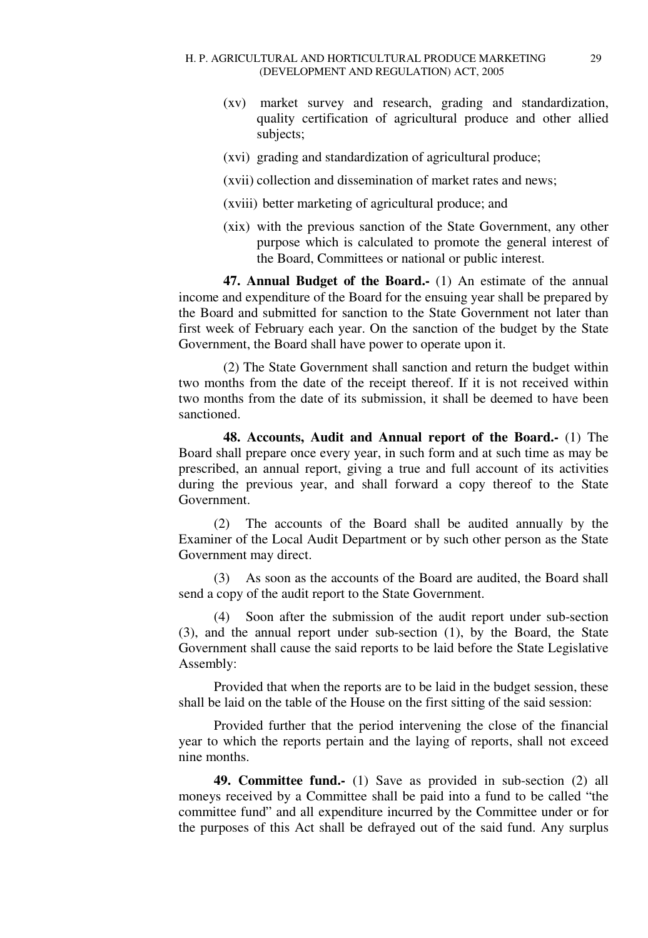- (xv) market survey and research, grading and standardization, quality certification of agricultural produce and other allied subjects;
- (xvi) grading and standardization of agricultural produce;
- (xvii) collection and dissemination of market rates and news;
- (xviii) better marketing of agricultural produce; and
- (xix) with the previous sanction of the State Government, any other purpose which is calculated to promote the general interest of the Board, Committees or national or public interest.

**47. Annual Budget of the Board.-** (1) An estimate of the annual income and expenditure of the Board for the ensuing year shall be prepared by the Board and submitted for sanction to the State Government not later than first week of February each year. On the sanction of the budget by the State Government, the Board shall have power to operate upon it.

(2) The State Government shall sanction and return the budget within two months from the date of the receipt thereof. If it is not received within two months from the date of its submission, it shall be deemed to have been sanctioned.

**48. Accounts, Audit and Annual report of the Board.-** (1) The Board shall prepare once every year, in such form and at such time as may be prescribed, an annual report, giving a true and full account of its activities during the previous year, and shall forward a copy thereof to the State Government.

(2) The accounts of the Board shall be audited annually by the Examiner of the Local Audit Department or by such other person as the State Government may direct.

(3) As soon as the accounts of the Board are audited, the Board shall send a copy of the audit report to the State Government.

(4) Soon after the submission of the audit report under sub-section (3), and the annual report under sub-section (1), by the Board, the State Government shall cause the said reports to be laid before the State Legislative Assembly:

Provided that when the reports are to be laid in the budget session, these shall be laid on the table of the House on the first sitting of the said session:

Provided further that the period intervening the close of the financial year to which the reports pertain and the laying of reports, shall not exceed nine months.

**49. Committee fund.-** (1) Save as provided in sub-section (2) all moneys received by a Committee shall be paid into a fund to be called "the committee fund" and all expenditure incurred by the Committee under or for the purposes of this Act shall be defrayed out of the said fund. Any surplus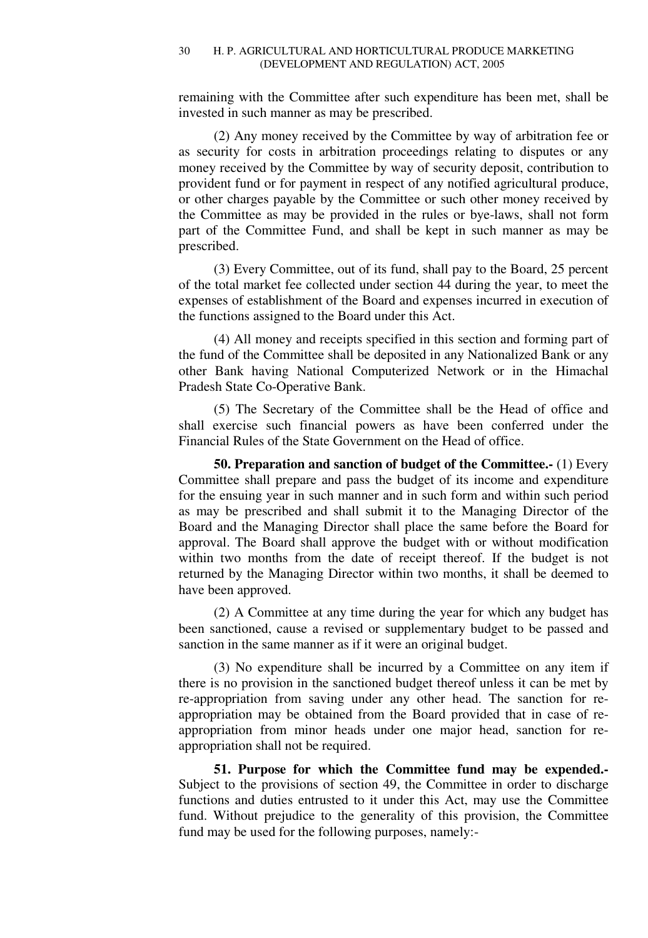remaining with the Committee after such expenditure has been met, shall be invested in such manner as may be prescribed.

(2) Any money received by the Committee by way of arbitration fee or as security for costs in arbitration proceedings relating to disputes or any money received by the Committee by way of security deposit, contribution to provident fund or for payment in respect of any notified agricultural produce, or other charges payable by the Committee or such other money received by the Committee as may be provided in the rules or bye-laws, shall not form part of the Committee Fund, and shall be kept in such manner as may be prescribed.

(3) Every Committee, out of its fund, shall pay to the Board, 25 percent of the total market fee collected under section 44 during the year, to meet the expenses of establishment of the Board and expenses incurred in execution of the functions assigned to the Board under this Act.

(4) All money and receipts specified in this section and forming part of the fund of the Committee shall be deposited in any Nationalized Bank or any other Bank having National Computerized Network or in the Himachal Pradesh State Co-Operative Bank.

(5) The Secretary of the Committee shall be the Head of office and shall exercise such financial powers as have been conferred under the Financial Rules of the State Government on the Head of office.

**50. Preparation and sanction of budget of the Committee.-** (1) Every Committee shall prepare and pass the budget of its income and expenditure for the ensuing year in such manner and in such form and within such period as may be prescribed and shall submit it to the Managing Director of the Board and the Managing Director shall place the same before the Board for approval. The Board shall approve the budget with or without modification within two months from the date of receipt thereof. If the budget is not returned by the Managing Director within two months, it shall be deemed to have been approved.

(2) A Committee at any time during the year for which any budget has been sanctioned, cause a revised or supplementary budget to be passed and sanction in the same manner as if it were an original budget.

(3) No expenditure shall be incurred by a Committee on any item if there is no provision in the sanctioned budget thereof unless it can be met by re-appropriation from saving under any other head. The sanction for reappropriation may be obtained from the Board provided that in case of reappropriation from minor heads under one major head, sanction for reappropriation shall not be required.

**51. Purpose for which the Committee fund may be expended.-**  Subject to the provisions of section 49, the Committee in order to discharge functions and duties entrusted to it under this Act, may use the Committee fund. Without prejudice to the generality of this provision, the Committee fund may be used for the following purposes, namely:-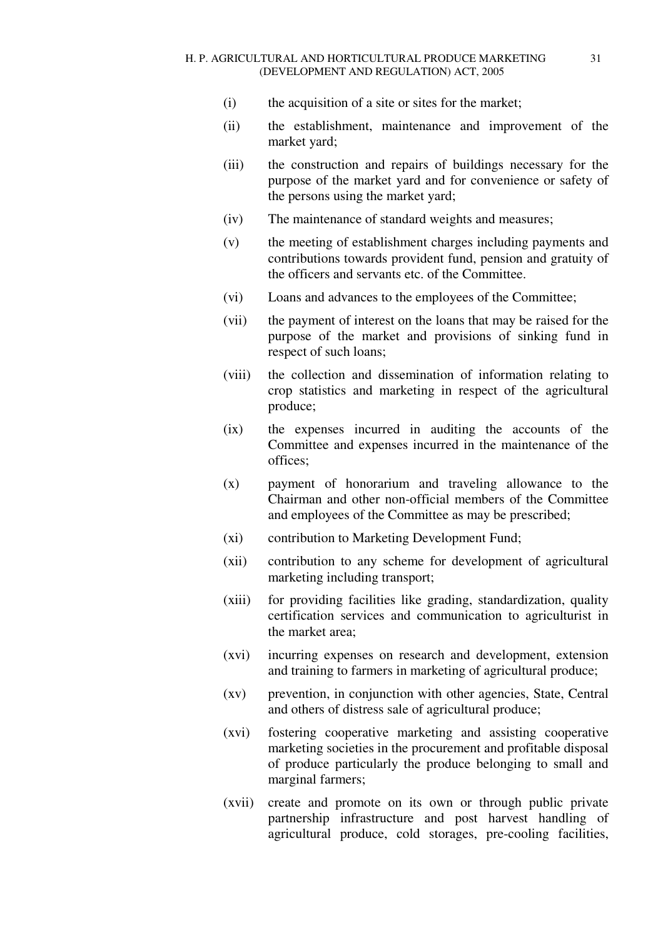- (i) the acquisition of a site or sites for the market;
- (ii) the establishment, maintenance and improvement of the market yard;
- (iii) the construction and repairs of buildings necessary for the purpose of the market yard and for convenience or safety of the persons using the market yard;
- (iv) The maintenance of standard weights and measures;
- (v) the meeting of establishment charges including payments and contributions towards provident fund, pension and gratuity of the officers and servants etc. of the Committee.
- (vi) Loans and advances to the employees of the Committee;
- (vii) the payment of interest on the loans that may be raised for the purpose of the market and provisions of sinking fund in respect of such loans;
- (viii) the collection and dissemination of information relating to crop statistics and marketing in respect of the agricultural produce;
- (ix) the expenses incurred in auditing the accounts of the Committee and expenses incurred in the maintenance of the offices;
- (x) payment of honorarium and traveling allowance to the Chairman and other non-official members of the Committee and employees of the Committee as may be prescribed;
- (xi) contribution to Marketing Development Fund;
- (xii) contribution to any scheme for development of agricultural marketing including transport;
- (xiii) for providing facilities like grading, standardization, quality certification services and communication to agriculturist in the market area;
- (xvi) incurring expenses on research and development, extension and training to farmers in marketing of agricultural produce;
- (xv) prevention, in conjunction with other agencies, State, Central and others of distress sale of agricultural produce;
- (xvi) fostering cooperative marketing and assisting cooperative marketing societies in the procurement and profitable disposal of produce particularly the produce belonging to small and marginal farmers;
- (xvii) create and promote on its own or through public private partnership infrastructure and post harvest handling of agricultural produce, cold storages, pre-cooling facilities,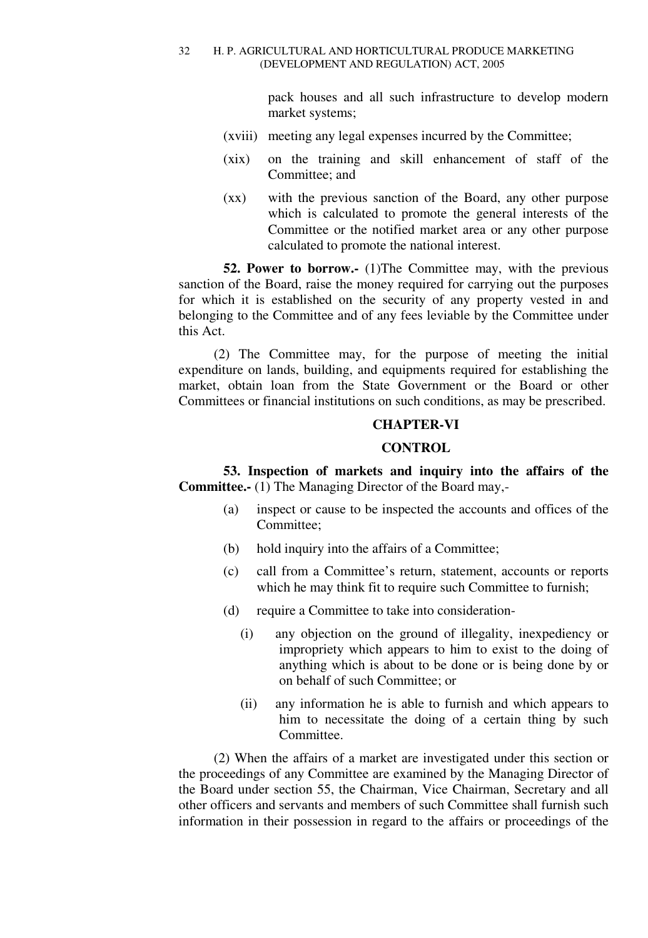pack houses and all such infrastructure to develop modern market systems;

- (xviii) meeting any legal expenses incurred by the Committee;
- (xix) on the training and skill enhancement of staff of the Committee; and
- (xx) with the previous sanction of the Board, any other purpose which is calculated to promote the general interests of the Committee or the notified market area or any other purpose calculated to promote the national interest.

**52. Power to borrow.** (1) The Committee may, with the previous sanction of the Board, raise the money required for carrying out the purposes for which it is established on the security of any property vested in and belonging to the Committee and of any fees leviable by the Committee under this Act.

(2) The Committee may, for the purpose of meeting the initial expenditure on lands, building, and equipments required for establishing the market, obtain loan from the State Government or the Board or other Committees or financial institutions on such conditions, as may be prescribed.

### **CHAPTER-VI**

### **CONTROL**

**53. Inspection of markets and inquiry into the affairs of the Committee.-** (1) The Managing Director of the Board may,-

- (a) inspect or cause to be inspected the accounts and offices of the Committee;
- (b) hold inquiry into the affairs of a Committee;
- (c) call from a Committee's return, statement, accounts or reports which he may think fit to require such Committee to furnish;
- (d) require a Committee to take into consideration-
	- (i) any objection on the ground of illegality, inexpediency or impropriety which appears to him to exist to the doing of anything which is about to be done or is being done by or on behalf of such Committee; or
	- (ii) any information he is able to furnish and which appears to him to necessitate the doing of a certain thing by such Committee.

(2) When the affairs of a market are investigated under this section or the proceedings of any Committee are examined by the Managing Director of the Board under section 55, the Chairman, Vice Chairman, Secretary and all other officers and servants and members of such Committee shall furnish such information in their possession in regard to the affairs or proceedings of the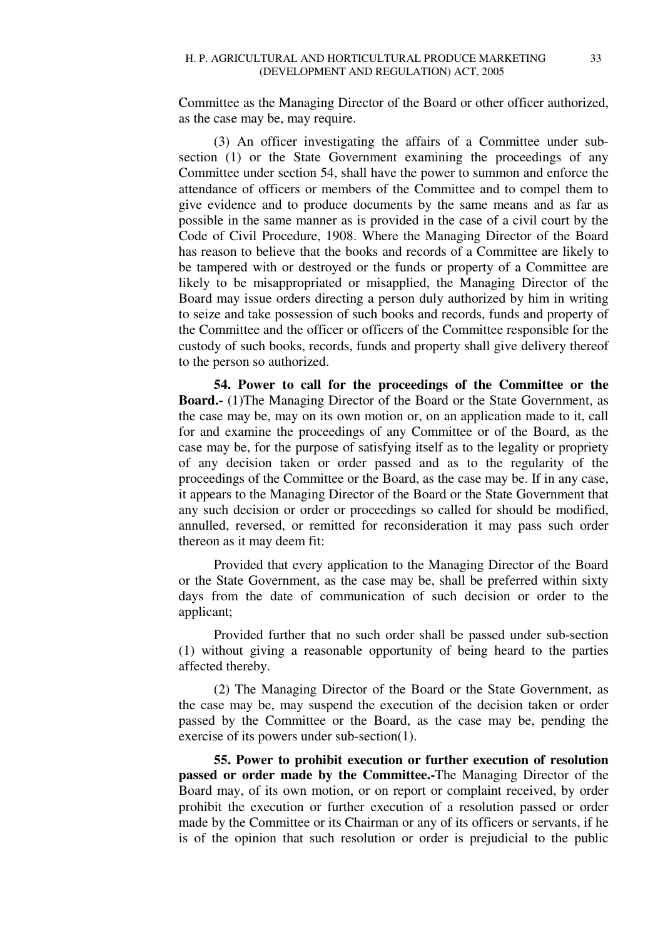Committee as the Managing Director of the Board or other officer authorized, as the case may be, may require.

(3) An officer investigating the affairs of a Committee under subsection (1) or the State Government examining the proceedings of any Committee under section 54, shall have the power to summon and enforce the attendance of officers or members of the Committee and to compel them to give evidence and to produce documents by the same means and as far as possible in the same manner as is provided in the case of a civil court by the Code of Civil Procedure, 1908. Where the Managing Director of the Board has reason to believe that the books and records of a Committee are likely to be tampered with or destroyed or the funds or property of a Committee are likely to be misappropriated or misapplied, the Managing Director of the Board may issue orders directing a person duly authorized by him in writing to seize and take possession of such books and records, funds and property of the Committee and the officer or officers of the Committee responsible for the custody of such books, records, funds and property shall give delivery thereof to the person so authorized.

**54. Power to call for the proceedings of the Committee or the Board.-** (1)The Managing Director of the Board or the State Government, as the case may be, may on its own motion or, on an application made to it, call for and examine the proceedings of any Committee or of the Board, as the case may be, for the purpose of satisfying itself as to the legality or propriety of any decision taken or order passed and as to the regularity of the proceedings of the Committee or the Board, as the case may be. If in any case, it appears to the Managing Director of the Board or the State Government that any such decision or order or proceedings so called for should be modified, annulled, reversed, or remitted for reconsideration it may pass such order thereon as it may deem fit:

Provided that every application to the Managing Director of the Board or the State Government, as the case may be, shall be preferred within sixty days from the date of communication of such decision or order to the applicant;

Provided further that no such order shall be passed under sub-section (1) without giving a reasonable opportunity of being heard to the parties affected thereby.

(2) The Managing Director of the Board or the State Government, as the case may be, may suspend the execution of the decision taken or order passed by the Committee or the Board, as the case may be, pending the exercise of its powers under sub-section(1).

**55. Power to prohibit execution or further execution of resolution passed or order made by the Committee.-**The Managing Director of the Board may, of its own motion, or on report or complaint received, by order prohibit the execution or further execution of a resolution passed or order made by the Committee or its Chairman or any of its officers or servants, if he is of the opinion that such resolution or order is prejudicial to the public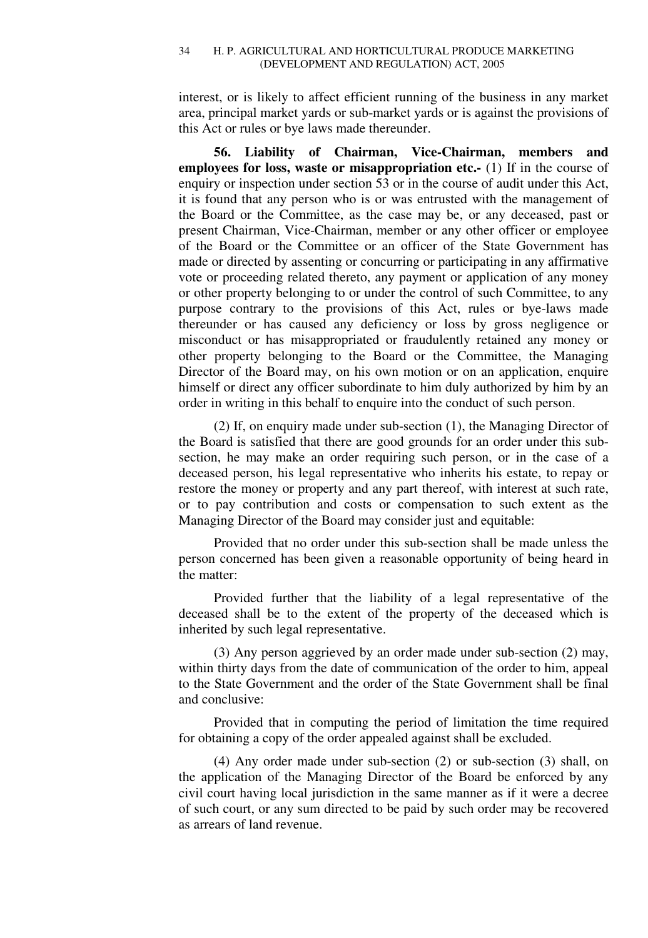interest, or is likely to affect efficient running of the business in any market area, principal market yards or sub-market yards or is against the provisions of this Act or rules or bye laws made thereunder.

**56. Liability of Chairman, Vice-Chairman, members and employees for loss, waste or misappropriation etc.-** (1) If in the course of enquiry or inspection under section 53 or in the course of audit under this Act, it is found that any person who is or was entrusted with the management of the Board or the Committee, as the case may be, or any deceased, past or present Chairman, Vice-Chairman, member or any other officer or employee of the Board or the Committee or an officer of the State Government has made or directed by assenting or concurring or participating in any affirmative vote or proceeding related thereto, any payment or application of any money or other property belonging to or under the control of such Committee, to any purpose contrary to the provisions of this Act, rules or bye-laws made thereunder or has caused any deficiency or loss by gross negligence or misconduct or has misappropriated or fraudulently retained any money or other property belonging to the Board or the Committee, the Managing Director of the Board may, on his own motion or on an application, enquire himself or direct any officer subordinate to him duly authorized by him by an order in writing in this behalf to enquire into the conduct of such person.

(2) If, on enquiry made under sub-section (1), the Managing Director of the Board is satisfied that there are good grounds for an order under this subsection, he may make an order requiring such person, or in the case of a deceased person, his legal representative who inherits his estate, to repay or restore the money or property and any part thereof, with interest at such rate, or to pay contribution and costs or compensation to such extent as the Managing Director of the Board may consider just and equitable:

Provided that no order under this sub-section shall be made unless the person concerned has been given a reasonable opportunity of being heard in the matter:

Provided further that the liability of a legal representative of the deceased shall be to the extent of the property of the deceased which is inherited by such legal representative.

(3) Any person aggrieved by an order made under sub-section (2) may, within thirty days from the date of communication of the order to him, appeal to the State Government and the order of the State Government shall be final and conclusive:

Provided that in computing the period of limitation the time required for obtaining a copy of the order appealed against shall be excluded.

(4) Any order made under sub-section (2) or sub-section (3) shall, on the application of the Managing Director of the Board be enforced by any civil court having local jurisdiction in the same manner as if it were a decree of such court, or any sum directed to be paid by such order may be recovered as arrears of land revenue.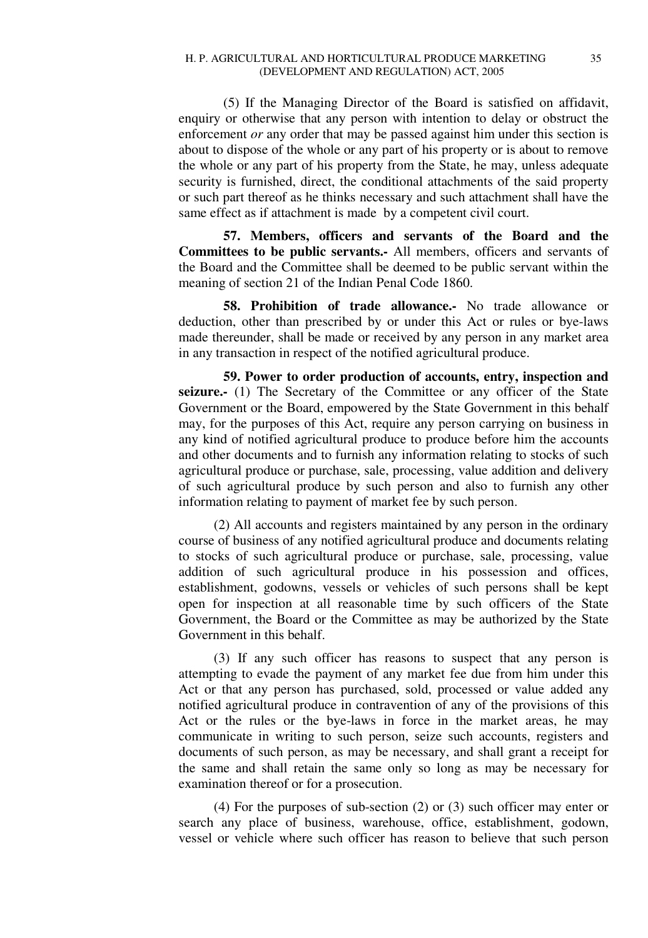(5) If the Managing Director of the Board is satisfied on affidavit, enquiry or otherwise that any person with intention to delay or obstruct the enforcement *or* any order that may be passed against him under this section is about to dispose of the whole or any part of his property or is about to remove the whole or any part of his property from the State, he may, unless adequate security is furnished, direct, the conditional attachments of the said property or such part thereof as he thinks necessary and such attachment shall have the same effect as if attachment is made by a competent civil court.

**57. Members, officers and servants of the Board and the Committees to be public servants.-** All members, officers and servants of the Board and the Committee shall be deemed to be public servant within the meaning of section 21 of the Indian Penal Code 1860.

**58. Prohibition of trade allowance.-** No trade allowance or deduction, other than prescribed by or under this Act or rules or bye-laws made thereunder, shall be made or received by any person in any market area in any transaction in respect of the notified agricultural produce.

**59. Power to order production of accounts, entry, inspection and seizure.-** (1) The Secretary of the Committee or any officer of the State Government or the Board, empowered by the State Government in this behalf may, for the purposes of this Act, require any person carrying on business in any kind of notified agricultural produce to produce before him the accounts and other documents and to furnish any information relating to stocks of such agricultural produce or purchase, sale, processing, value addition and delivery of such agricultural produce by such person and also to furnish any other information relating to payment of market fee by such person.

(2) All accounts and registers maintained by any person in the ordinary course of business of any notified agricultural produce and documents relating to stocks of such agricultural produce or purchase, sale, processing, value addition of such agricultural produce in his possession and offices, establishment, godowns, vessels or vehicles of such persons shall be kept open for inspection at all reasonable time by such officers of the State Government, the Board or the Committee as may be authorized by the State Government in this behalf.

(3) If any such officer has reasons to suspect that any person is attempting to evade the payment of any market fee due from him under this Act or that any person has purchased, sold, processed or value added any notified agricultural produce in contravention of any of the provisions of this Act or the rules or the bye-laws in force in the market areas, he may communicate in writing to such person, seize such accounts, registers and documents of such person, as may be necessary, and shall grant a receipt for the same and shall retain the same only so long as may be necessary for examination thereof or for a prosecution.

(4) For the purposes of sub-section (2) or (3) such officer may enter or search any place of business, warehouse, office, establishment, godown, vessel or vehicle where such officer has reason to believe that such person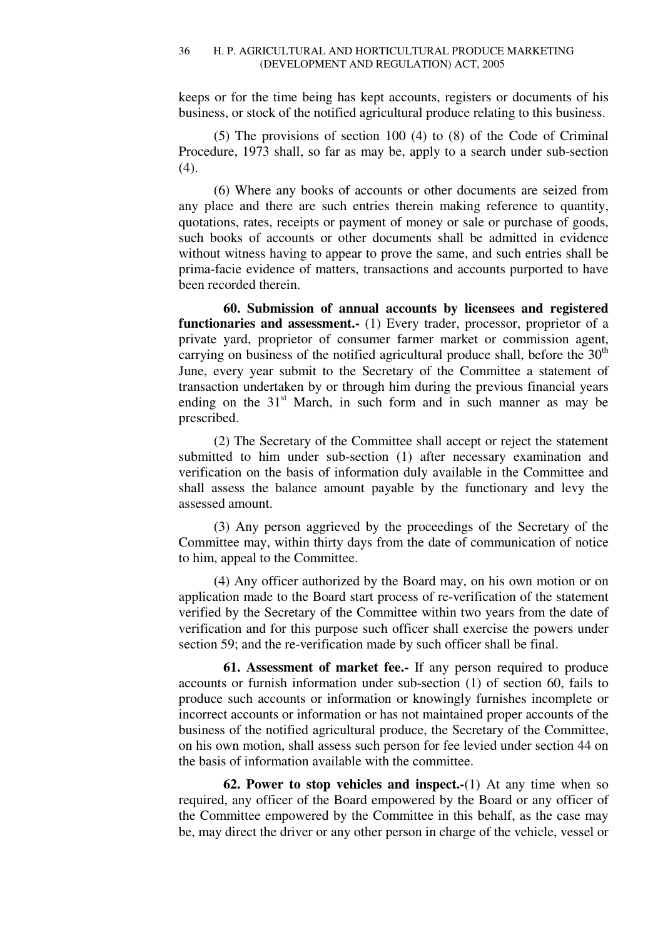keeps or for the time being has kept accounts, registers or documents of his business, or stock of the notified agricultural produce relating to this business.

(5) The provisions of section 100 (4) to (8) of the Code of Criminal Procedure, 1973 shall, so far as may be, apply to a search under sub-section (4).

(6) Where any books of accounts or other documents are seized from any place and there are such entries therein making reference to quantity, quotations, rates, receipts or payment of money or sale or purchase of goods, such books of accounts or other documents shall be admitted in evidence without witness having to appear to prove the same, and such entries shall be prima-facie evidence of matters, transactions and accounts purported to have been recorded therein.

**60. Submission of annual accounts by licensees and registered functionaries and assessment.-** (1) Every trader, processor, proprietor of a private yard, proprietor of consumer farmer market or commission agent, carrying on business of the notified agricultural produce shall, before the  $30<sup>th</sup>$ June, every year submit to the Secretary of the Committee a statement of transaction undertaken by or through him during the previous financial years ending on the  $31<sup>st</sup>$  March, in such form and in such manner as may be prescribed.

(2) The Secretary of the Committee shall accept or reject the statement submitted to him under sub-section (1) after necessary examination and verification on the basis of information duly available in the Committee and shall assess the balance amount payable by the functionary and levy the assessed amount.

(3) Any person aggrieved by the proceedings of the Secretary of the Committee may, within thirty days from the date of communication of notice to him, appeal to the Committee.

(4) Any officer authorized by the Board may, on his own motion or on application made to the Board start process of re-verification of the statement verified by the Secretary of the Committee within two years from the date of verification and for this purpose such officer shall exercise the powers under section 59; and the re-verification made by such officer shall be final.

**61. Assessment of market fee.-** If any person required to produce accounts or furnish information under sub-section (1) of section 60, fails to produce such accounts or information or knowingly furnishes incomplete or incorrect accounts or information or has not maintained proper accounts of the business of the notified agricultural produce, the Secretary of the Committee, on his own motion, shall assess such person for fee levied under section 44 on the basis of information available with the committee.

**62. Power to stop vehicles and inspect.-**(1) At any time when so required, any officer of the Board empowered by the Board or any officer of the Committee empowered by the Committee in this behalf, as the case may be, may direct the driver or any other person in charge of the vehicle, vessel or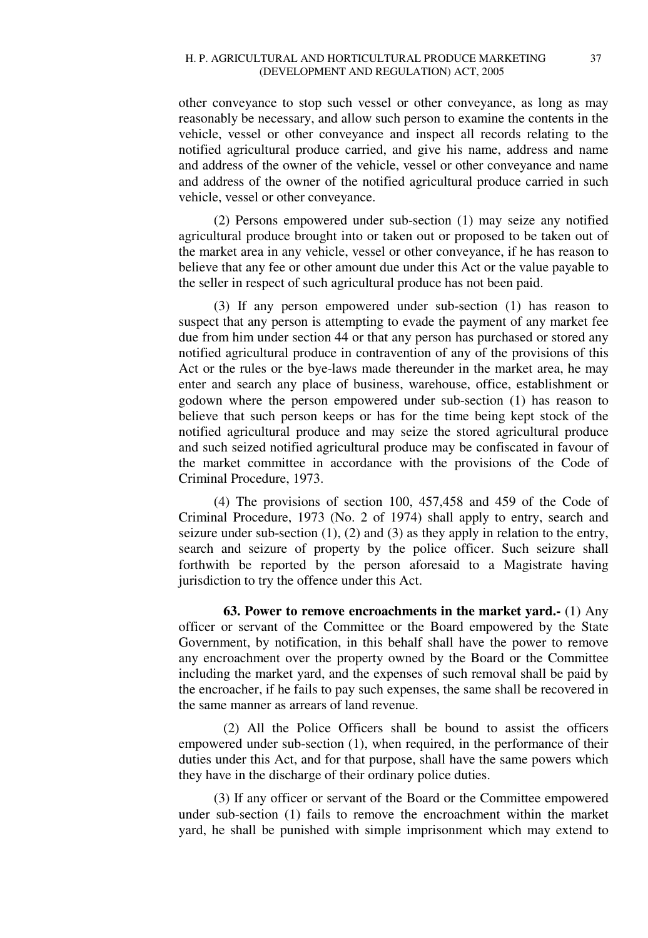other conveyance to stop such vessel or other conveyance, as long as may reasonably be necessary, and allow such person to examine the contents in the vehicle, vessel or other conveyance and inspect all records relating to the notified agricultural produce carried, and give his name, address and name and address of the owner of the vehicle, vessel or other conveyance and name and address of the owner of the notified agricultural produce carried in such vehicle, vessel or other conveyance.

(2) Persons empowered under sub-section (1) may seize any notified agricultural produce brought into or taken out or proposed to be taken out of the market area in any vehicle, vessel or other conveyance, if he has reason to believe that any fee or other amount due under this Act or the value payable to the seller in respect of such agricultural produce has not been paid.

(3) If any person empowered under sub-section (1) has reason to suspect that any person is attempting to evade the payment of any market fee due from him under section 44 or that any person has purchased or stored any notified agricultural produce in contravention of any of the provisions of this Act or the rules or the bye-laws made thereunder in the market area, he may enter and search any place of business, warehouse, office, establishment or godown where the person empowered under sub-section (1) has reason to believe that such person keeps or has for the time being kept stock of the notified agricultural produce and may seize the stored agricultural produce and such seized notified agricultural produce may be confiscated in favour of the market committee in accordance with the provisions of the Code of Criminal Procedure, 1973.

(4) The provisions of section 100, 457,458 and 459 of the Code of Criminal Procedure, 1973 (No. 2 of 1974) shall apply to entry, search and seizure under sub-section  $(1)$ ,  $(2)$  and  $(3)$  as they apply in relation to the entry, search and seizure of property by the police officer. Such seizure shall forthwith be reported by the person aforesaid to a Magistrate having jurisdiction to try the offence under this Act.

**63. Power to remove encroachments in the market yard.-** (1) Any officer or servant of the Committee or the Board empowered by the State Government, by notification, in this behalf shall have the power to remove any encroachment over the property owned by the Board or the Committee including the market yard, and the expenses of such removal shall be paid by the encroacher, if he fails to pay such expenses, the same shall be recovered in the same manner as arrears of land revenue.

(2) All the Police Officers shall be bound to assist the officers empowered under sub-section (1), when required, in the performance of their duties under this Act, and for that purpose, shall have the same powers which they have in the discharge of their ordinary police duties.

(3) If any officer or servant of the Board or the Committee empowered under sub-section (1) fails to remove the encroachment within the market yard, he shall be punished with simple imprisonment which may extend to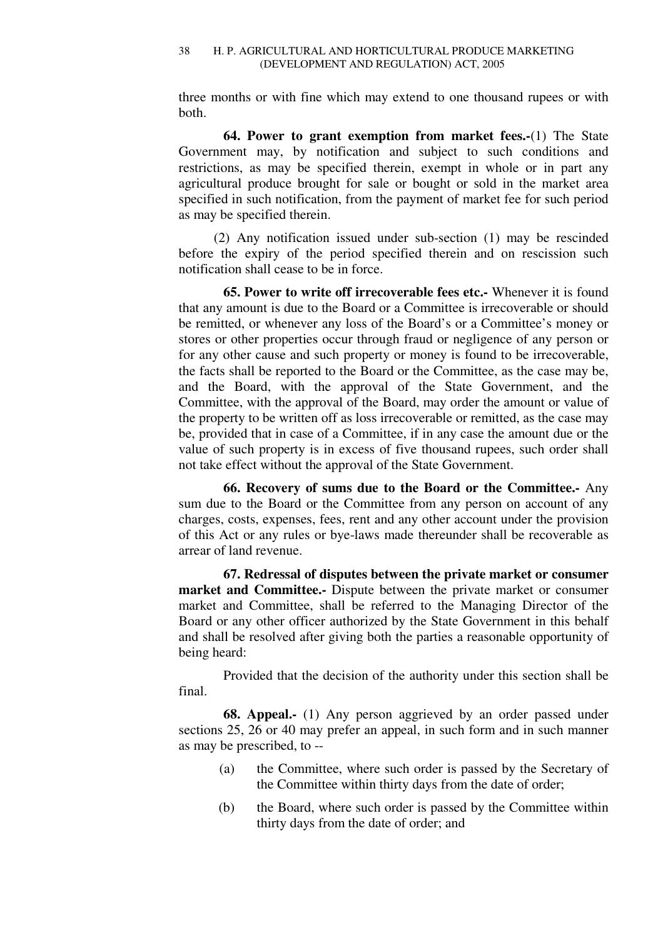three months or with fine which may extend to one thousand rupees or with both.

**64. Power to grant exemption from market fees.-**(1) The State Government may, by notification and subject to such conditions and restrictions, as may be specified therein, exempt in whole or in part any agricultural produce brought for sale or bought or sold in the market area specified in such notification, from the payment of market fee for such period as may be specified therein.

(2) Any notification issued under sub-section (1) may be rescinded before the expiry of the period specified therein and on rescission such notification shall cease to be in force.

**65. Power to write off irrecoverable fees etc.-** Whenever it is found that any amount is due to the Board or a Committee is irrecoverable or should be remitted, or whenever any loss of the Board's or a Committee's money or stores or other properties occur through fraud or negligence of any person or for any other cause and such property or money is found to be irrecoverable, the facts shall be reported to the Board or the Committee, as the case may be, and the Board, with the approval of the State Government, and the Committee, with the approval of the Board, may order the amount or value of the property to be written off as loss irrecoverable or remitted, as the case may be, provided that in case of a Committee, if in any case the amount due or the value of such property is in excess of five thousand rupees, such order shall not take effect without the approval of the State Government.

**66. Recovery of sums due to the Board or the Committee.-** Any sum due to the Board or the Committee from any person on account of any charges, costs, expenses, fees, rent and any other account under the provision of this Act or any rules or bye-laws made thereunder shall be recoverable as arrear of land revenue.

**67. Redressal of disputes between the private market or consumer market and Committee.-** Dispute between the private market or consumer market and Committee, shall be referred to the Managing Director of the Board or any other officer authorized by the State Government in this behalf and shall be resolved after giving both the parties a reasonable opportunity of being heard:

Provided that the decision of the authority under this section shall be final.

**68. Appeal.-** (1) Any person aggrieved by an order passed under sections 25, 26 or 40 may prefer an appeal, in such form and in such manner as may be prescribed, to --

- (a) the Committee, where such order is passed by the Secretary of the Committee within thirty days from the date of order;
- (b) the Board, where such order is passed by the Committee within thirty days from the date of order; and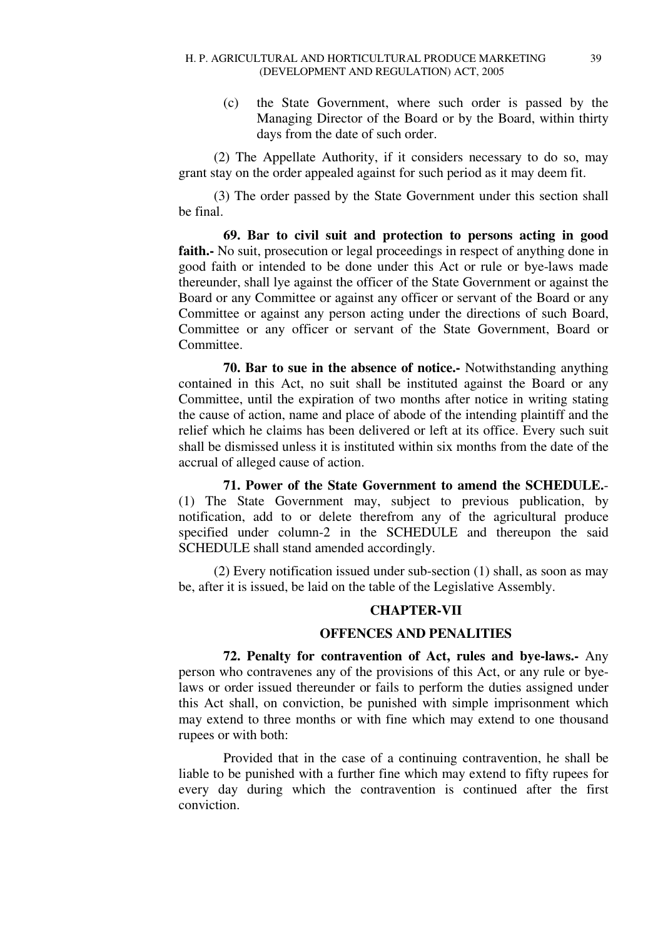(c) the State Government, where such order is passed by the Managing Director of the Board or by the Board, within thirty days from the date of such order.

(2) The Appellate Authority, if it considers necessary to do so, may grant stay on the order appealed against for such period as it may deem fit.

(3) The order passed by the State Government under this section shall be final.

**69. Bar to civil suit and protection to persons acting in good faith.-** No suit, prosecution or legal proceedings in respect of anything done in good faith or intended to be done under this Act or rule or bye-laws made thereunder, shall lye against the officer of the State Government or against the Board or any Committee or against any officer or servant of the Board or any Committee or against any person acting under the directions of such Board, Committee or any officer or servant of the State Government, Board or **Committee** 

**70. Bar to sue in the absence of notice.-** Notwithstanding anything contained in this Act, no suit shall be instituted against the Board or any Committee, until the expiration of two months after notice in writing stating the cause of action, name and place of abode of the intending plaintiff and the relief which he claims has been delivered or left at its office. Every such suit shall be dismissed unless it is instituted within six months from the date of the accrual of alleged cause of action.

**71. Power of the State Government to amend the SCHEDULE.**- (1) The State Government may, subject to previous publication, by notification, add to or delete therefrom any of the agricultural produce specified under column-2 in the SCHEDULE and thereupon the said SCHEDULE shall stand amended accordingly.

(2) Every notification issued under sub-section (1) shall, as soon as may be, after it is issued, be laid on the table of the Legislative Assembly.

# **CHAPTER-VII**

# **OFFENCES AND PENALITIES**

**72. Penalty for contravention of Act, rules and bye-laws.-** Any person who contravenes any of the provisions of this Act, or any rule or byelaws or order issued thereunder or fails to perform the duties assigned under this Act shall, on conviction, be punished with simple imprisonment which may extend to three months or with fine which may extend to one thousand rupees or with both:

Provided that in the case of a continuing contravention, he shall be liable to be punished with a further fine which may extend to fifty rupees for every day during which the contravention is continued after the first conviction.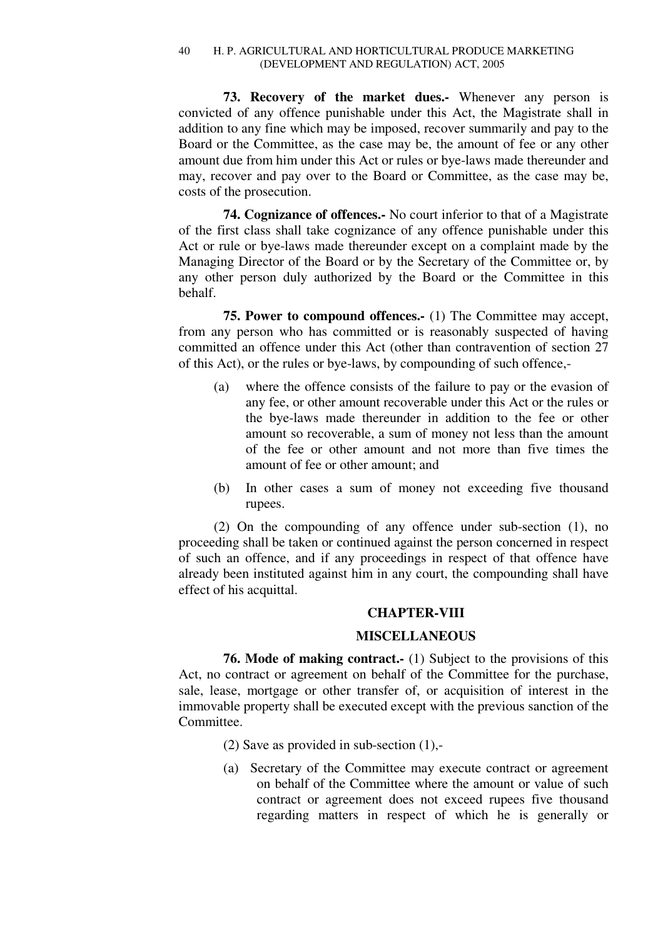**73. Recovery of the market dues.-** Whenever any person is convicted of any offence punishable under this Act, the Magistrate shall in addition to any fine which may be imposed, recover summarily and pay to the Board or the Committee, as the case may be, the amount of fee or any other amount due from him under this Act or rules or bye-laws made thereunder and may, recover and pay over to the Board or Committee, as the case may be, costs of the prosecution.

**74. Cognizance of offences.-** No court inferior to that of a Magistrate of the first class shall take cognizance of any offence punishable under this Act or rule or bye-laws made thereunder except on a complaint made by the Managing Director of the Board or by the Secretary of the Committee or, by any other person duly authorized by the Board or the Committee in this behalf.

**75. Power to compound offences.-** (1) The Committee may accept, from any person who has committed or is reasonably suspected of having committed an offence under this Act (other than contravention of section 27 of this Act), or the rules or bye-laws, by compounding of such offence,-

- (a) where the offence consists of the failure to pay or the evasion of any fee, or other amount recoverable under this Act or the rules or the bye-laws made thereunder in addition to the fee or other amount so recoverable, a sum of money not less than the amount of the fee or other amount and not more than five times the amount of fee or other amount; and
- (b) In other cases a sum of money not exceeding five thousand rupees.

(2) On the compounding of any offence under sub-section (1), no proceeding shall be taken or continued against the person concerned in respect of such an offence, and if any proceedings in respect of that offence have already been instituted against him in any court, the compounding shall have effect of his acquittal.

# **CHAPTER-VIII**

# **MISCELLANEOUS**

**76. Mode of making contract.** (1) Subject to the provisions of this Act, no contract or agreement on behalf of the Committee for the purchase, sale, lease, mortgage or other transfer of, or acquisition of interest in the immovable property shall be executed except with the previous sanction of the Committee.

- (2) Save as provided in sub-section (1),-
- (a) Secretary of the Committee may execute contract or agreement on behalf of the Committee where the amount or value of such contract or agreement does not exceed rupees five thousand regarding matters in respect of which he is generally or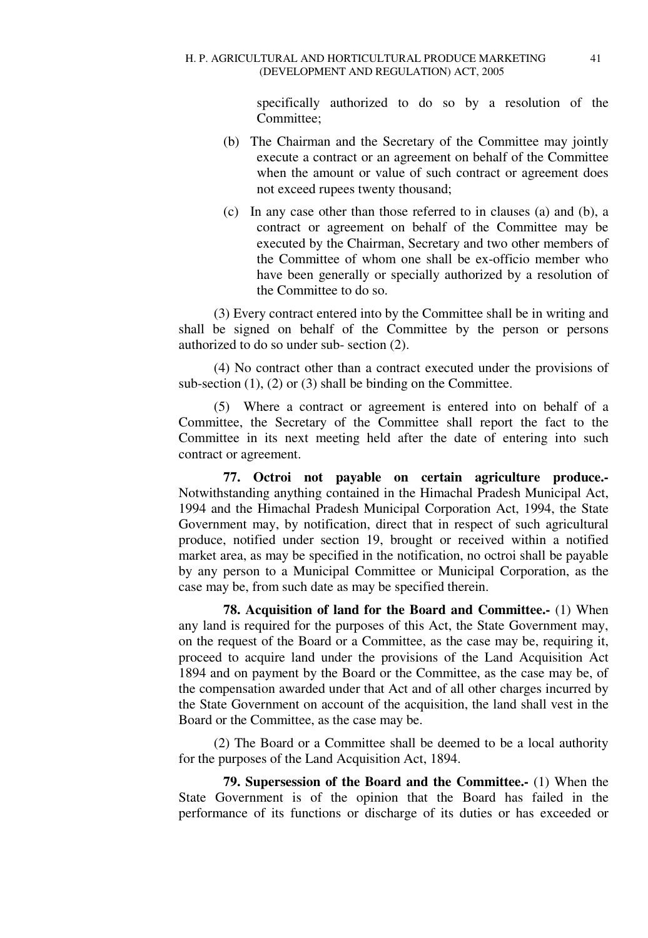specifically authorized to do so by a resolution of the Committee;

- (b) The Chairman and the Secretary of the Committee may jointly execute a contract or an agreement on behalf of the Committee when the amount or value of such contract or agreement does not exceed rupees twenty thousand;
- (c) In any case other than those referred to in clauses (a) and (b), a contract or agreement on behalf of the Committee may be executed by the Chairman, Secretary and two other members of the Committee of whom one shall be ex-officio member who have been generally or specially authorized by a resolution of the Committee to do so.

(3) Every contract entered into by the Committee shall be in writing and shall be signed on behalf of the Committee by the person or persons authorized to do so under sub- section (2).

(4) No contract other than a contract executed under the provisions of sub-section (1), (2) or (3) shall be binding on the Committee.

(5) Where a contract or agreement is entered into on behalf of a Committee, the Secretary of the Committee shall report the fact to the Committee in its next meeting held after the date of entering into such contract or agreement.

**77. Octroi not payable on certain agriculture produce.-**  Notwithstanding anything contained in the Himachal Pradesh Municipal Act, 1994 and the Himachal Pradesh Municipal Corporation Act, 1994, the State Government may, by notification, direct that in respect of such agricultural produce, notified under section 19, brought or received within a notified market area, as may be specified in the notification, no octroi shall be payable by any person to a Municipal Committee or Municipal Corporation, as the case may be, from such date as may be specified therein.

**78. Acquisition of land for the Board and Committee.-** (1) When any land is required for the purposes of this Act, the State Government may, on the request of the Board or a Committee, as the case may be, requiring it, proceed to acquire land under the provisions of the Land Acquisition Act 1894 and on payment by the Board or the Committee, as the case may be, of the compensation awarded under that Act and of all other charges incurred by the State Government on account of the acquisition, the land shall vest in the Board or the Committee, as the case may be.

(2) The Board or a Committee shall be deemed to be a local authority for the purposes of the Land Acquisition Act, 1894.

**79. Supersession of the Board and the Committee.-** (1) When the State Government is of the opinion that the Board has failed in the performance of its functions or discharge of its duties or has exceeded or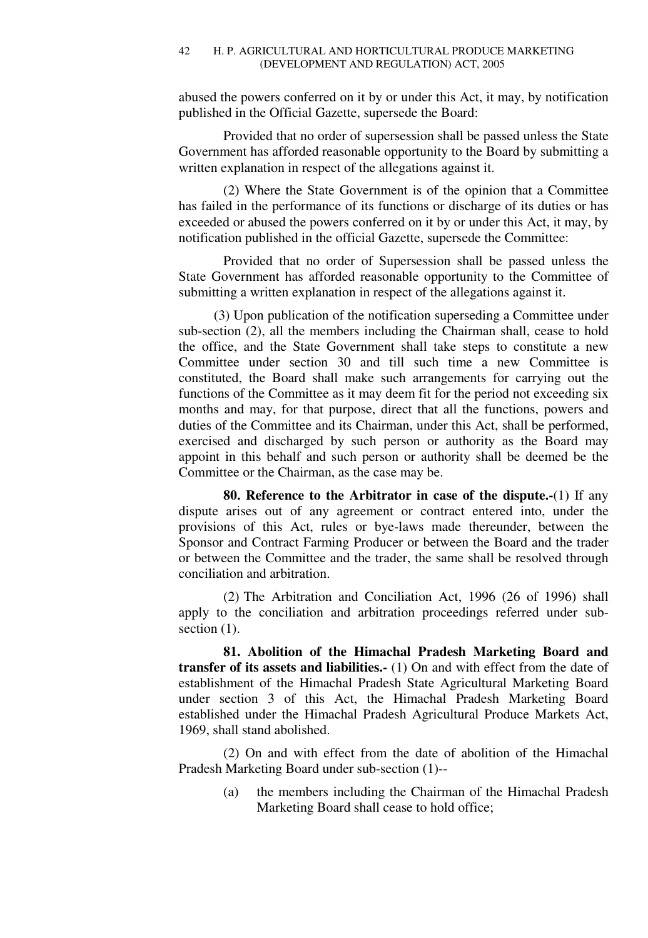abused the powers conferred on it by or under this Act, it may, by notification published in the Official Gazette, supersede the Board:

Provided that no order of supersession shall be passed unless the State Government has afforded reasonable opportunity to the Board by submitting a written explanation in respect of the allegations against it.

(2) Where the State Government is of the opinion that a Committee has failed in the performance of its functions or discharge of its duties or has exceeded or abused the powers conferred on it by or under this Act, it may, by notification published in the official Gazette, supersede the Committee:

Provided that no order of Supersession shall be passed unless the State Government has afforded reasonable opportunity to the Committee of submitting a written explanation in respect of the allegations against it.

(3) Upon publication of the notification superseding a Committee under sub-section (2), all the members including the Chairman shall, cease to hold the office, and the State Government shall take steps to constitute a new Committee under section 30 and till such time a new Committee is constituted, the Board shall make such arrangements for carrying out the functions of the Committee as it may deem fit for the period not exceeding six months and may, for that purpose, direct that all the functions, powers and duties of the Committee and its Chairman, under this Act, shall be performed, exercised and discharged by such person or authority as the Board may appoint in this behalf and such person or authority shall be deemed be the Committee or the Chairman, as the case may be.

**80. Reference to the Arbitrator in case of the dispute.-**(1) If any dispute arises out of any agreement or contract entered into, under the provisions of this Act, rules or bye-laws made thereunder, between the Sponsor and Contract Farming Producer or between the Board and the trader or between the Committee and the trader, the same shall be resolved through conciliation and arbitration.

(2) The Arbitration and Conciliation Act, 1996 (26 of 1996) shall apply to the conciliation and arbitration proceedings referred under subsection  $(1)$ .

**81. Abolition of the Himachal Pradesh Marketing Board and transfer of its assets and liabilities.-** (1) On and with effect from the date of establishment of the Himachal Pradesh State Agricultural Marketing Board under section 3 of this Act, the Himachal Pradesh Marketing Board established under the Himachal Pradesh Agricultural Produce Markets Act, 1969, shall stand abolished.

(2) On and with effect from the date of abolition of the Himachal Pradesh Marketing Board under sub-section (1)--

> (a) the members including the Chairman of the Himachal Pradesh Marketing Board shall cease to hold office;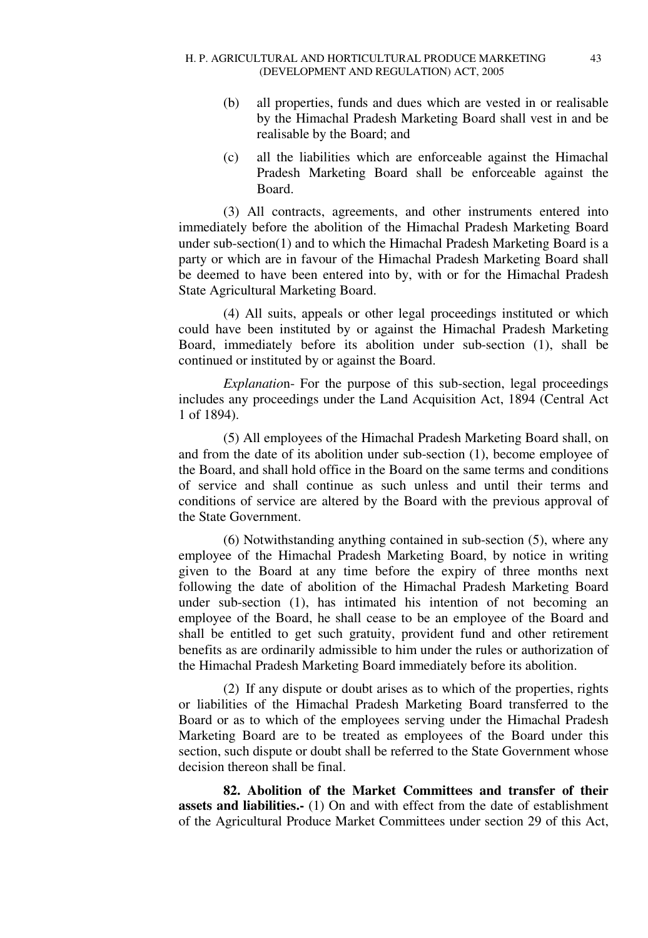- (b) all properties, funds and dues which are vested in or realisable by the Himachal Pradesh Marketing Board shall vest in and be realisable by the Board; and
- (c) all the liabilities which are enforceable against the Himachal Pradesh Marketing Board shall be enforceable against the Board.

(3) All contracts, agreements, and other instruments entered into immediately before the abolition of the Himachal Pradesh Marketing Board under sub-section(1) and to which the Himachal Pradesh Marketing Board is a party or which are in favour of the Himachal Pradesh Marketing Board shall be deemed to have been entered into by, with or for the Himachal Pradesh State Agricultural Marketing Board.

(4) All suits, appeals or other legal proceedings instituted or which could have been instituted by or against the Himachal Pradesh Marketing Board, immediately before its abolition under sub-section (1), shall be continued or instituted by or against the Board.

*Explanatio*n- For the purpose of this sub-section, legal proceedings includes any proceedings under the Land Acquisition Act, 1894 (Central Act 1 of 1894).

(5) All employees of the Himachal Pradesh Marketing Board shall, on and from the date of its abolition under sub-section (1), become employee of the Board, and shall hold office in the Board on the same terms and conditions of service and shall continue as such unless and until their terms and conditions of service are altered by the Board with the previous approval of the State Government.

(6) Notwithstanding anything contained in sub-section (5), where any employee of the Himachal Pradesh Marketing Board, by notice in writing given to the Board at any time before the expiry of three months next following the date of abolition of the Himachal Pradesh Marketing Board under sub-section (1), has intimated his intention of not becoming an employee of the Board, he shall cease to be an employee of the Board and shall be entitled to get such gratuity, provident fund and other retirement benefits as are ordinarily admissible to him under the rules or authorization of the Himachal Pradesh Marketing Board immediately before its abolition.

(2) If any dispute or doubt arises as to which of the properties, rights or liabilities of the Himachal Pradesh Marketing Board transferred to the Board or as to which of the employees serving under the Himachal Pradesh Marketing Board are to be treated as employees of the Board under this section, such dispute or doubt shall be referred to the State Government whose decision thereon shall be final.

**82. Abolition of the Market Committees and transfer of their assets and liabilities.-** (1) On and with effect from the date of establishment of the Agricultural Produce Market Committees under section 29 of this Act,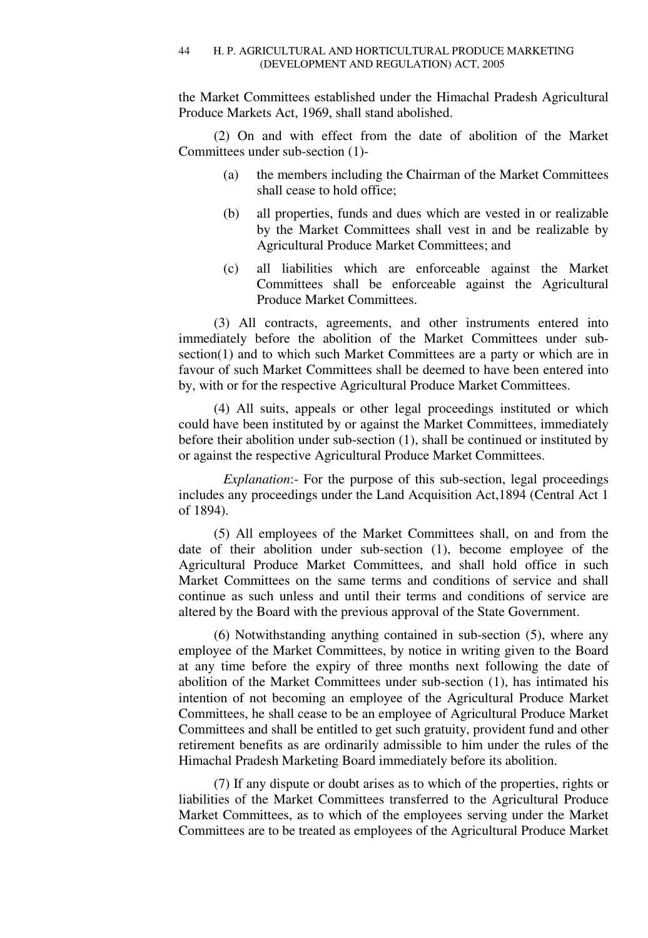the Market Committees established under the Himachal Pradesh Agricultural Produce Markets Act, 1969, shall stand abolished.

(2) On and with effect from the date of abolition of the Market Committees under sub-section (1)-

- (a) the members including the Chairman of the Market Committees shall cease to hold office;
- (b) all properties, funds and dues which are vested in or realizable by the Market Committees shall vest in and be realizable by Agricultural Produce Market Committees; and
- (c) all liabilities which are enforceable against the Market Committees shall be enforceable against the Agricultural Produce Market Committees.

(3) All contracts, agreements, and other instruments entered into immediately before the abolition of the Market Committees under subsection(1) and to which such Market Committees are a party or which are in favour of such Market Committees shall be deemed to have been entered into by, with or for the respective Agricultural Produce Market Committees.

(4) All suits, appeals or other legal proceedings instituted or which could have been instituted by or against the Market Committees, immediately before their abolition under sub-section (1), shall be continued or instituted by or against the respective Agricultural Produce Market Committees.

*Explanation*: For the purpose of this sub-section, legal proceedings includes any proceedings under the Land Acquisition Act,1894 (Central Act 1 of 1894).

(5) All employees of the Market Committees shall, on and from the date of their abolition under sub-section (1), become employee of the Agricultural Produce Market Committees, and shall hold office in such Market Committees on the same terms and conditions of service and shall continue as such unless and until their terms and conditions of service are altered by the Board with the previous approval of the State Government.

(6) Notwithstanding anything contained in sub-section (5), where any employee of the Market Committees, by notice in writing given to the Board at any time before the expiry of three months next following the date of abolition of the Market Committees under sub-section (1), has intimated his intention of not becoming an employee of the Agricultural Produce Market Committees, he shall cease to be an employee of Agricultural Produce Market Committees and shall be entitled to get such gratuity, provident fund and other retirement benefits as are ordinarily admissible to him under the rules of the Himachal Pradesh Marketing Board immediately before its abolition.

(7) If any dispute or doubt arises as to which of the properties, rights or liabilities of the Market Committees transferred to the Agricultural Produce Market Committees, as to which of the employees serving under the Market Committees are to be treated as employees of the Agricultural Produce Market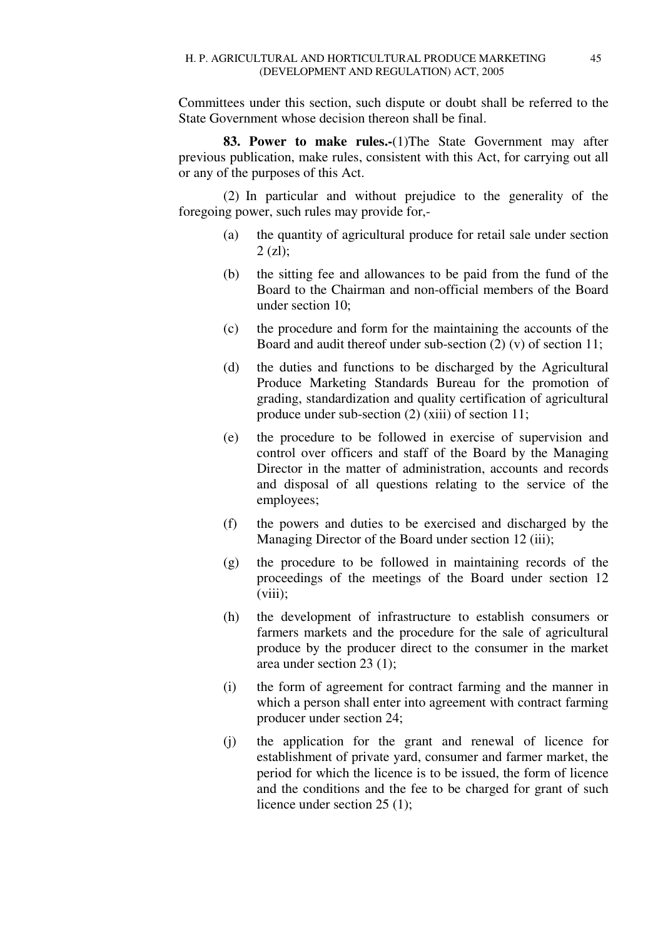Committees under this section, such dispute or doubt shall be referred to the State Government whose decision thereon shall be final.

**83. Power to make rules.-**(1)The State Government may after previous publication, make rules, consistent with this Act, for carrying out all or any of the purposes of this Act.

(2) In particular and without prejudice to the generality of the foregoing power, such rules may provide for,-

- (a) the quantity of agricultural produce for retail sale under section  $2$  (zl):
- (b) the sitting fee and allowances to be paid from the fund of the Board to the Chairman and non-official members of the Board under section 10;
- (c) the procedure and form for the maintaining the accounts of the Board and audit thereof under sub-section (2) (v) of section 11;
- (d) the duties and functions to be discharged by the Agricultural Produce Marketing Standards Bureau for the promotion of grading, standardization and quality certification of agricultural produce under sub-section (2) (xiii) of section 11;
- (e) the procedure to be followed in exercise of supervision and control over officers and staff of the Board by the Managing Director in the matter of administration, accounts and records and disposal of all questions relating to the service of the employees;
- (f) the powers and duties to be exercised and discharged by the Managing Director of the Board under section 12 (iii);
- (g) the procedure to be followed in maintaining records of the proceedings of the meetings of the Board under section 12  $(viii);$
- (h) the development of infrastructure to establish consumers or farmers markets and the procedure for the sale of agricultural produce by the producer direct to the consumer in the market area under section 23 (1);
- (i) the form of agreement for contract farming and the manner in which a person shall enter into agreement with contract farming producer under section 24;
- (j) the application for the grant and renewal of licence for establishment of private yard, consumer and farmer market, the period for which the licence is to be issued, the form of licence and the conditions and the fee to be charged for grant of such licence under section 25 (1);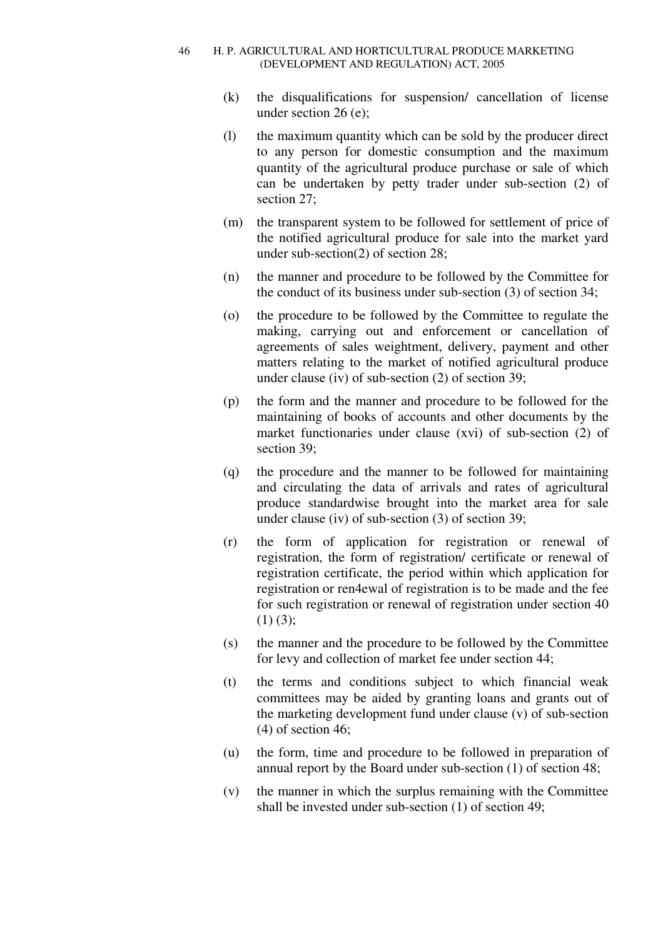- (k) the disqualifications for suspension/ cancellation of license under section 26 (e);
- (l) the maximum quantity which can be sold by the producer direct to any person for domestic consumption and the maximum quantity of the agricultural produce purchase or sale of which can be undertaken by petty trader under sub-section (2) of section 27;
- (m) the transparent system to be followed for settlement of price of the notified agricultural produce for sale into the market yard under sub-section(2) of section 28;
- (n) the manner and procedure to be followed by the Committee for the conduct of its business under sub-section (3) of section 34;
- (o) the procedure to be followed by the Committee to regulate the making, carrying out and enforcement or cancellation of agreements of sales weightment, delivery, payment and other matters relating to the market of notified agricultural produce under clause (iv) of sub-section (2) of section 39;
- (p) the form and the manner and procedure to be followed for the maintaining of books of accounts and other documents by the market functionaries under clause (xvi) of sub-section (2) of section 39;
- (q) the procedure and the manner to be followed for maintaining and circulating the data of arrivals and rates of agricultural produce standardwise brought into the market area for sale under clause (iv) of sub-section (3) of section 39;
- (r) the form of application for registration or renewal of registration, the form of registration/ certificate or renewal of registration certificate, the period within which application for registration or ren4ewal of registration is to be made and the fee for such registration or renewal of registration under section 40  $(1)$   $(3)$ ;
- (s) the manner and the procedure to be followed by the Committee for levy and collection of market fee under section 44;
- (t) the terms and conditions subject to which financial weak committees may be aided by granting loans and grants out of the marketing development fund under clause (v) of sub-section (4) of section 46;
- (u) the form, time and procedure to be followed in preparation of annual report by the Board under sub-section (1) of section 48;
- (v) the manner in which the surplus remaining with the Committee shall be invested under sub-section (1) of section 49;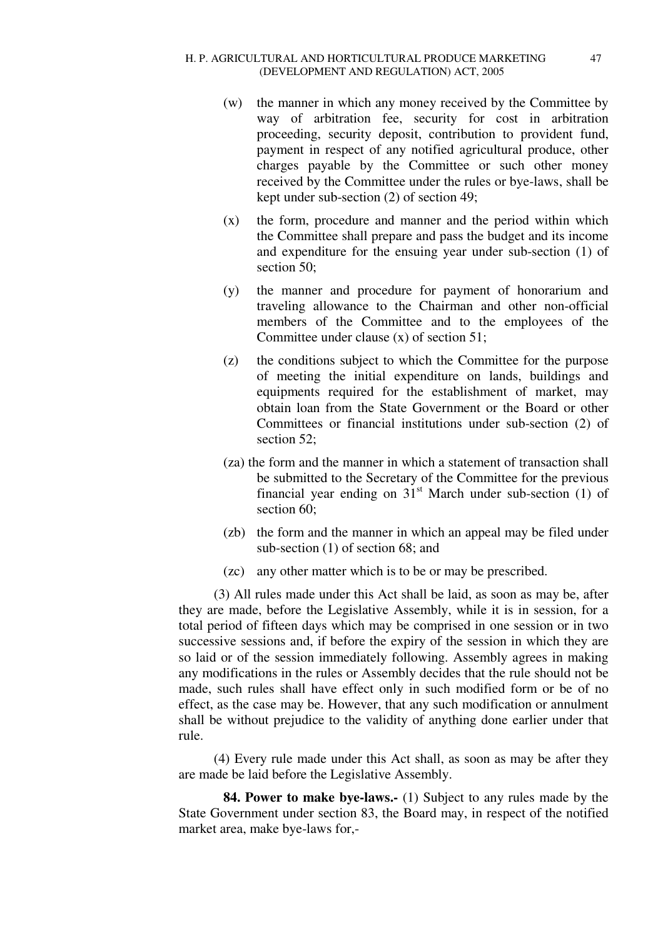- (w) the manner in which any money received by the Committee by way of arbitration fee, security for cost in arbitration proceeding, security deposit, contribution to provident fund, payment in respect of any notified agricultural produce, other charges payable by the Committee or such other money received by the Committee under the rules or bye-laws, shall be kept under sub-section (2) of section 49;
- (x) the form, procedure and manner and the period within which the Committee shall prepare and pass the budget and its income and expenditure for the ensuing year under sub-section (1) of section 50;
- (y) the manner and procedure for payment of honorarium and traveling allowance to the Chairman and other non-official members of the Committee and to the employees of the Committee under clause (x) of section 51;
- (z) the conditions subject to which the Committee for the purpose of meeting the initial expenditure on lands, buildings and equipments required for the establishment of market, may obtain loan from the State Government or the Board or other Committees or financial institutions under sub-section (2) of section 52:
- (za) the form and the manner in which a statement of transaction shall be submitted to the Secretary of the Committee for the previous financial year ending on  $31<sup>st</sup>$  March under sub-section (1) of section 60:
- (zb) the form and the manner in which an appeal may be filed under sub-section (1) of section 68; and
- (zc) any other matter which is to be or may be prescribed.

(3) All rules made under this Act shall be laid, as soon as may be, after they are made, before the Legislative Assembly, while it is in session, for a total period of fifteen days which may be comprised in one session or in two successive sessions and, if before the expiry of the session in which they are so laid or of the session immediately following. Assembly agrees in making any modifications in the rules or Assembly decides that the rule should not be made, such rules shall have effect only in such modified form or be of no effect, as the case may be. However, that any such modification or annulment shall be without prejudice to the validity of anything done earlier under that rule.

(4) Every rule made under this Act shall, as soon as may be after they are made be laid before the Legislative Assembly.

**84. Power to make bye-laws.-** (1) Subject to any rules made by the State Government under section 83, the Board may, in respect of the notified market area, make bye-laws for,-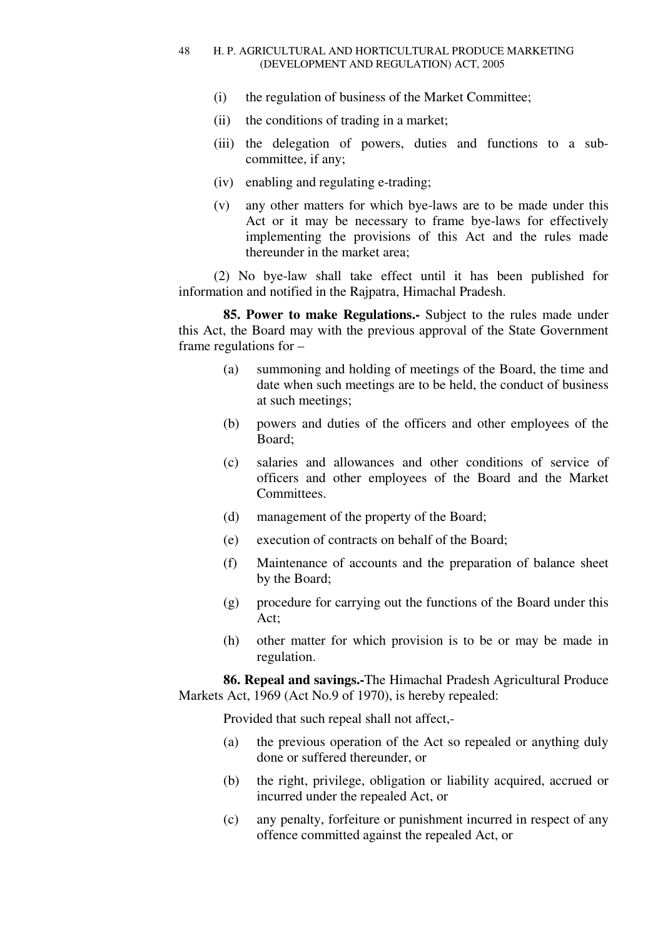- (i) the regulation of business of the Market Committee;
- (ii) the conditions of trading in a market;
- (iii) the delegation of powers, duties and functions to a subcommittee, if any;
- (iv) enabling and regulating e-trading;
- (v) any other matters for which bye-laws are to be made under this Act or it may be necessary to frame bye-laws for effectively implementing the provisions of this Act and the rules made thereunder in the market area;

(2) No bye-law shall take effect until it has been published for information and notified in the Rajpatra, Himachal Pradesh.

**85. Power to make Regulations.-** Subject to the rules made under this Act, the Board may with the previous approval of the State Government frame regulations for –

- (a) summoning and holding of meetings of the Board, the time and date when such meetings are to be held, the conduct of business at such meetings;
- (b) powers and duties of the officers and other employees of the Board;
- (c) salaries and allowances and other conditions of service of officers and other employees of the Board and the Market Committees.
- (d) management of the property of the Board;
- (e) execution of contracts on behalf of the Board;
- (f) Maintenance of accounts and the preparation of balance sheet by the Board;
- (g) procedure for carrying out the functions of the Board under this Act;
- (h) other matter for which provision is to be or may be made in regulation.

**86. Repeal and savings.-**The Himachal Pradesh Agricultural Produce Markets Act, 1969 (Act No.9 of 1970), is hereby repealed:

Provided that such repeal shall not affect,-

- (a) the previous operation of the Act so repealed or anything duly done or suffered thereunder, or
- (b) the right, privilege, obligation or liability acquired, accrued or incurred under the repealed Act, or
- (c) any penalty, forfeiture or punishment incurred in respect of any offence committed against the repealed Act, or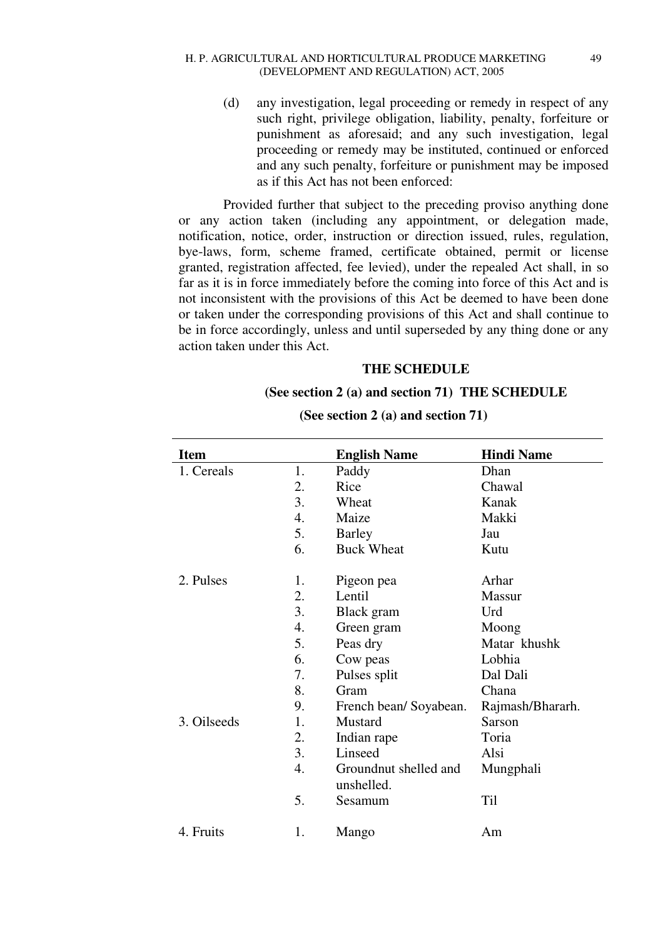(d) any investigation, legal proceeding or remedy in respect of any such right, privilege obligation, liability, penalty, forfeiture or punishment as aforesaid; and any such investigation, legal proceeding or remedy may be instituted, continued or enforced and any such penalty, forfeiture or punishment may be imposed as if this Act has not been enforced:

Provided further that subject to the preceding proviso anything done or any action taken (including any appointment, or delegation made, notification, notice, order, instruction or direction issued, rules, regulation, bye-laws, form, scheme framed, certificate obtained, permit or license granted, registration affected, fee levied), under the repealed Act shall, in so far as it is in force immediately before the coming into force of this Act and is not inconsistent with the provisions of this Act be deemed to have been done or taken under the corresponding provisions of this Act and shall continue to be in force accordingly, unless and until superseded by any thing done or any action taken under this Act.

### **THE SCHEDULE**

# **(See section 2 (a) and section 71) THE SCHEDULE**

| <b>Item</b> |                | <b>English Name</b>                 | <b>Hindi Name</b> |
|-------------|----------------|-------------------------------------|-------------------|
| 1. Cereals  | 1.             | Paddy                               | Dhan              |
|             | 2.             | Rice                                | Chawal            |
|             | 3.             | Wheat                               | Kanak             |
|             | 4.             | Maize                               | Makki             |
|             | 5.             | <b>Barley</b>                       | Jau               |
|             | 6.             | <b>Buck Wheat</b>                   | Kutu              |
| 2. Pulses   | 1.             | Pigeon pea                          | Arhar             |
|             | 2.             | Lentil                              | <b>Massur</b>     |
|             | 3.             | Black gram                          | Urd               |
|             | 4.             | Green gram                          | Moong             |
|             | 5.             | Peas dry                            | Matar khushk      |
|             | 6.             | Cow peas                            | Lobhia            |
|             | 7.             | Pulses split                        | Dal Dali          |
|             | 8.             | Gram                                | Chana             |
|             | 9.             | French bean/Soyabean.               | Rajmash/Bhararh.  |
| 3. Oilseeds | $\mathbf{1}$ . | Mustard                             | Sarson            |
|             | 2.             | Indian rape                         | Toria             |
|             | 3.             | Linseed                             | Alsi              |
|             | 4.             | Groundnut shelled and<br>unshelled. | Mungphali         |
|             | 5.             | Sesamum                             | Til               |
| 4. Fruits   | 1.             | Mango                               | Am                |

**(See section 2 (a) and section 71)**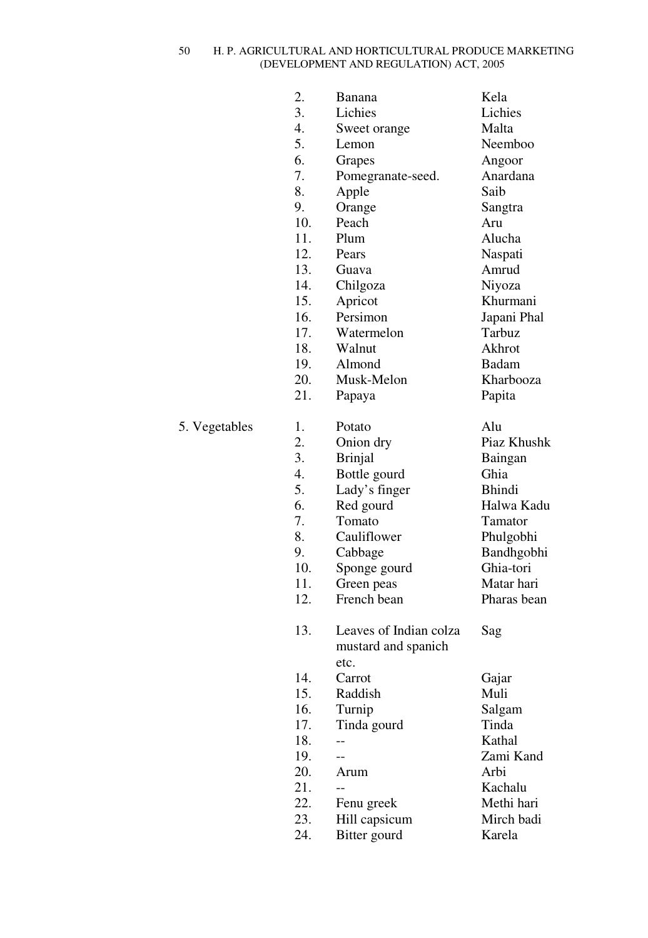|               | 2.  | Banana                      | Kela        |
|---------------|-----|-----------------------------|-------------|
|               | 3.  | Lichies                     | Lichies     |
|               | 4.  | Sweet orange                | Malta       |
|               | 5.  | Lemon                       | Neemboo     |
|               | 6.  | Grapes                      | Angoor      |
|               | 7.  | Pomegranate-seed.           | Anardana    |
|               | 8.  | Apple                       | Saib        |
|               | 9.  | Orange                      | Sangtra     |
|               | 10. | Peach                       | Aru         |
|               | 11. | Plum                        | Alucha      |
|               | 12. | Pears                       | Naspati     |
|               | 13. | Guava                       | Amrud       |
|               | 14. |                             | Niyoza      |
|               | 15. | Chilgoza                    | Khurmani    |
|               |     | Apricot<br>Persimon         |             |
|               | 16. |                             | Japani Phal |
|               | 17. | Watermelon                  | Tarbuz      |
|               | 18. | Walnut                      | Akhrot      |
|               | 19. | Almond                      | Badam       |
|               | 20. | Musk-Melon                  | Kharbooza   |
|               | 21. | Papaya                      | Papita      |
| 5. Vegetables | 1.  | Potato                      | Alu         |
|               | 2.  | Onion dry                   | Piaz Khushk |
|               | 3.  | <b>Brinjal</b>              | Baingan     |
|               | 4.  | Bottle gourd                | Ghia        |
|               | 5.  | Lady's finger               | Bhindi      |
|               | 6.  | Red gourd                   | Halwa Kadu  |
|               | 7.  | Tomato                      | Tamator     |
|               | 8.  | Cauliflower                 | Phulgobhi   |
|               | 9.  | Cabbage                     | Bandhgobhi  |
|               | 10. | Sponge gourd                | Ghia-tori   |
|               | 11. | Green peas                  | Matar hari  |
|               | 12. | French bean                 | Pharas bean |
|               |     |                             |             |
|               | 13. | Leaves of Indian colza      | Sag         |
|               |     | mustard and spanich<br>etc. |             |
|               |     |                             |             |
|               | 14. | Carrot                      | Gajar       |
|               | 15. | Raddish                     | Muli        |
|               | 16. | Turnip                      | Salgam      |
|               | 17. | Tinda gourd                 | Tinda       |
|               | 18. |                             | Kathal      |
|               | 19. |                             | Zami Kand   |
|               | 20. | Arum                        | Arbi        |
|               | 21. |                             | Kachalu     |
|               | 22. | Fenu greek                  | Methi hari  |
|               | 23. | Hill capsicum               | Mirch badi  |
|               | 24. | Bitter gourd                | Karela      |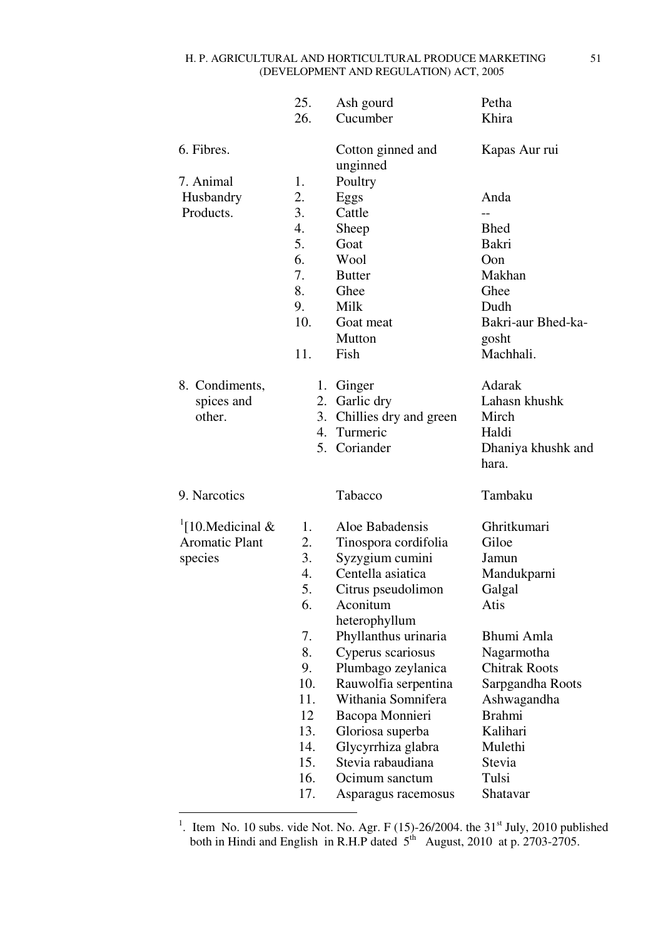|                                                                   | 25.                              | Ash gourd                                                                                                                          | Petha                                                          |
|-------------------------------------------------------------------|----------------------------------|------------------------------------------------------------------------------------------------------------------------------------|----------------------------------------------------------------|
|                                                                   | 26.                              | Cucumber                                                                                                                           | Khira                                                          |
| 6. Fibres.                                                        |                                  | Cotton ginned and<br>unginned                                                                                                      | Kapas Aur rui                                                  |
| 7. Animal<br>Husbandry<br>Products.                               | 1.<br>2.<br>3.                   | Poultry<br>Eggs<br>Cattle                                                                                                          | Anda<br>$-$                                                    |
|                                                                   | 4.<br>5.                         | Sheep<br>Goat                                                                                                                      | <b>Bhed</b><br>Bakri                                           |
|                                                                   | 6.<br>7.                         | Wool<br><b>Butter</b>                                                                                                              | Oon<br>Makhan                                                  |
|                                                                   | 8.<br>9.                         | Ghee<br>Milk                                                                                                                       | Ghee<br>Dudh                                                   |
|                                                                   | 10.                              | Goat meat<br>Mutton                                                                                                                | Bakri-aur Bhed-ka-                                             |
|                                                                   | 11.                              | Fish                                                                                                                               | gosht<br>Machhali.                                             |
| 8. Condiments,<br>spices and<br>other.                            |                                  | 1. Ginger<br>2. Garlic dry<br>3. Chillies dry and green<br>4. Turmeric                                                             | Adarak<br>Lahasn khushk<br>Mirch<br>Haldi                      |
|                                                                   |                                  | 5. Coriander                                                                                                                       | Dhaniya khushk and<br>hara.                                    |
| 9. Narcotics                                                      |                                  | Tabacco                                                                                                                            | Tambaku                                                        |
| $\frac{1}{2}$ [10.Medicinal &<br><b>Aromatic Plant</b><br>species | 1.<br>2.<br>3.<br>4.<br>5.<br>6. | Aloe Babadensis<br>Tinospora cordifolia<br>Syzygium cumini<br>Centella asiatica<br>Citrus pseudolimon<br>Aconitum<br>heterophyllum | Ghritkumari<br>Giloe<br>Jamun<br>Mandukparni<br>Galgal<br>Atis |
|                                                                   | 7.<br>8.<br>9.                   | Phyllanthus urinaria<br>Cyperus scariosus<br>Plumbago zeylanica                                                                    | Bhumi Amla<br>Nagarmotha<br><b>Chitrak Roots</b>               |
|                                                                   | 10.<br>11.<br>12<br>13.          | Rauwolfia serpentina<br>Withania Somnifera<br>Bacopa Monnieri<br>Gloriosa superba                                                  | Sarpgandha Roots<br>Ashwagandha<br><b>Brahmi</b><br>Kalihari   |
|                                                                   | 14.<br>15.<br>16.                | Glycyrrhiza glabra<br>Stevia rabaudiana<br>Ocimum sanctum                                                                          | Mulethi<br>Stevia<br>Tulsi                                     |
|                                                                   | 17.                              | Asparagus racemosus                                                                                                                | Shatavar                                                       |

<sup>1</sup>. Item No. 10 subs. vide Not. No. Agr. F (15)-26/2004. the 31<sup>st</sup> July, 2010 published both in Hindi and English in R.H.P dated  $5<sup>th</sup>$  August, 2010 at p. 2703-2705.